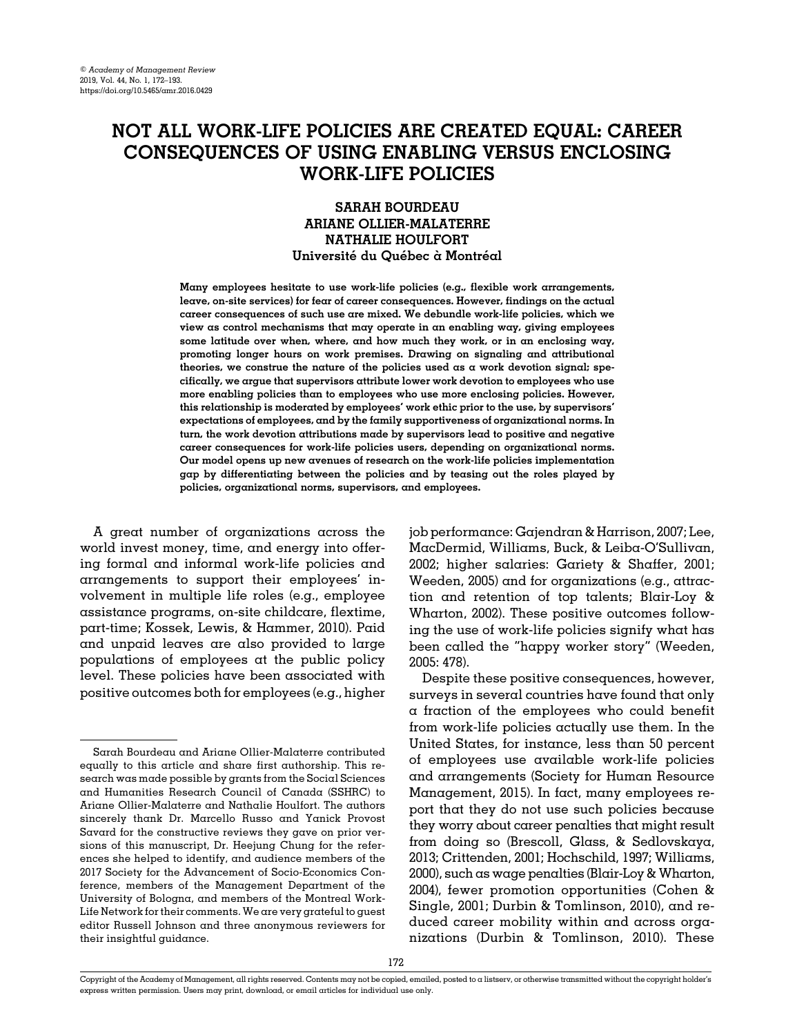# NOT ALL WORK-LIFE POLICIES ARE CREATED EQUAL: CAREER CONSEQUENCES OF USING ENABLING VERSUS ENCLOSING WORK-LIFE POLICIES

# SARAH BOURDEAU ARIANE OLLIER-MALATERRE NATHALIE HOULFORT Université du Québec à Montréal

Many employees hesitate to use work-life policies (e.g., flexible work arrangements, leave, on-site services) for fear of career consequences. However, findings on the actual career consequences of such use are mixed. We debundle work-life policies, which we view as control mechanisms that may operate in an enabling way, giving employees some latitude over when, where, and how much they work, or in an enclosing way, promoting longer hours on work premises. Drawing on signaling and attributional theories, we construe the nature of the policies used as a work devotion signal; specifically, we argue that supervisors attribute lower work devotion to employees who use more enabling policies than to employees who use more enclosing policies. However, this relationship is moderated by employees' work ethic prior to the use, by supervisors' expectations of employees, and by the family supportiveness of organizational norms. In turn, the work devotion attributions made by supervisors lead to positive and negative career consequences for work-life policies users, depending on organizational norms. Our model opens up new avenues of research on the work-life policies implementation gap by differentiating between the policies and by teasing out the roles played by policies, organizational norms, supervisors, and employees.

A great number of organizations across the world invest money, time, and energy into offering formal and informal work-life policies and arrangements to support their employees' involvement in multiple life roles (e.g., employee assistance programs, on-site childcare, flextime, part-time; [Kossek, Lewis,](#page-19-0) & [Hammer, 2010](#page-19-0)). Paid and unpaid leaves are also provided to large populations of employees at the public policy level. These policies have been associated with positive outcomes both for employees (e.g., higher job performance: [Gajendran](#page-18-0) & [Harrison, 2007;](#page-18-0) [Lee,](#page-19-0) [MacDermid, Williams, Buck,](#page-19-0) & Leiba-O'[Sullivan,](#page-19-0) [2002;](#page-19-0) higher salaries: [Gariety](#page-18-0) [& Shaffer, 2001;](#page-18-0) [Weeden, 2005\)](#page-20-0) and for organizations (e.g., attraction and retention of top talents; [Blair-Loy](#page-17-0) & [Wharton, 2002\)](#page-17-0). These positive outcomes following the use of work-life policies signify what has been called the "happy worker story" [\(Weeden,](#page-20-0) [2005:](#page-20-0) 478).

Despite these positive consequences, however, surveys in several countries have found that only a fraction of the employees who could benefit from work-life policies actually use them. In the United States, for instance, less than 50 percent of employees use available work-life policies and arrangements ([Society for Human Resource](#page-20-0) [Management, 2015\)](#page-20-0). In fact, many employees report that they do not use such policies because they worry about career penalties that might result from doing so ([Brescoll, Glass, & Sedlovskaya,](#page-17-0) [2013; Crittenden, 2001](#page-17-0); [Hochschild, 1997;](#page-18-0) [Williams,](#page-20-0) [2000\)](#page-20-0), such as wage penalties [\(Blair-Loy & Wharton,](#page-17-0) [2004](#page-17-0)), fewer promotion opportunities ([Cohen](#page-17-0) & [Single, 2001; Durbin](#page-17-0) & [Tomlinson, 2010](#page-17-0)), and reduced career mobility within and across organizations [\(Durbin](#page-17-0) [& Tomlinson, 2010](#page-17-0)). These

Sarah Bourdeau and Ariane Ollier-Malaterre contributed equally to this article and share first authorship. This research was made possible by grants from the Social Sciences and Humanities Research Council of Canada (SSHRC) to Ariane Ollier-Malaterre and Nathalie Houlfort. The authors sincerely thank Dr. Marcello Russo and Yanick Provost Savard for the constructive reviews they gave on prior versions of this manuscript, Dr. Heejung Chung for the references she helped to identify, and audience members of the 2017 Society for the Advancement of Socio-Economics Conference, members of the Management Department of the University of Bologna, and members of the Montreal Work-Life Network for their comments. We are very grateful to guest editor Russell Johnson and three anonymous reviewers for their insightful guidance.

Copyright of the Academy of Management, all rights reserved. Contents may not be copied, emailed, posted to a listserv, or otherwise transmitted without the copyright holder's express written permission. Users may print, download, or email articles for individual use only.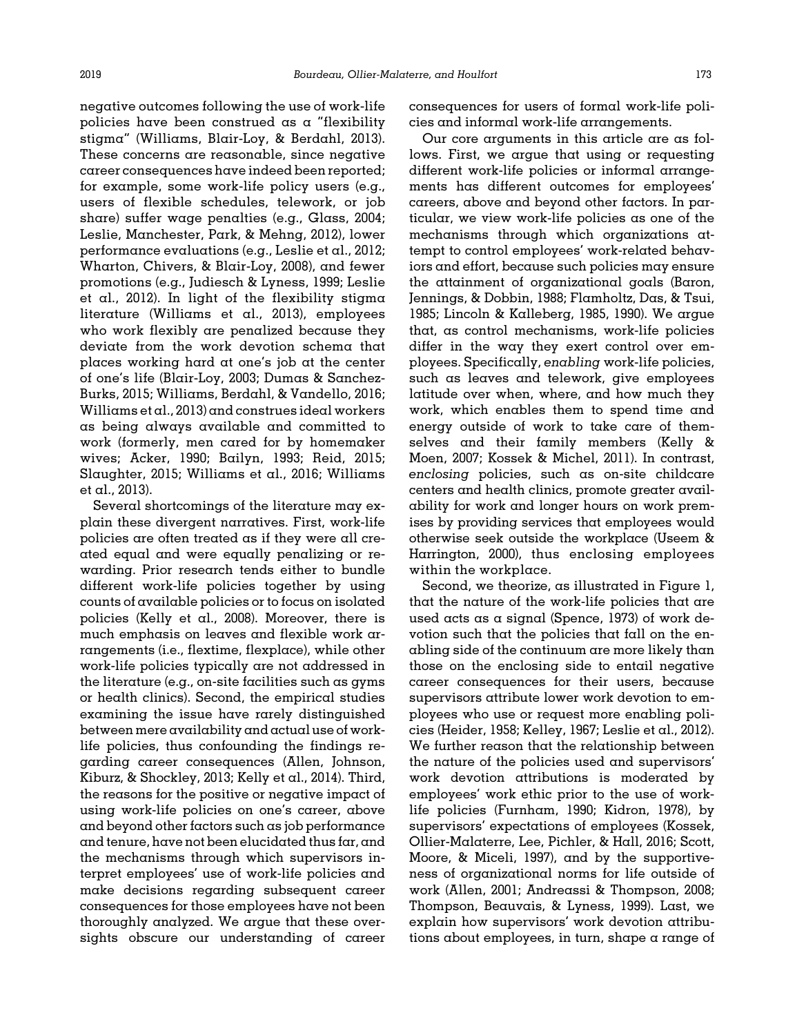negative outcomes following the use of work-life policies have been construed as a "flexibility stigma" (Williams, Blair-Loy, & Berdahl, 2013). These concerns are reasonable, since negative career consequences have indeed been reported; for example, some work-life policy users (e.g., users of flexible schedules, telework, or job share) suffer wage penalties (e.g., [Glass, 2004;](#page-18-0) [Leslie, Manchester, Park,](#page-19-0) & [Mehng, 2012\)](#page-19-0), lower performance evaluations (e.g., [Leslie et al., 2012;](#page-19-0) [Wharton, Chivers, & Blair-Loy, 2008\)](#page-20-0), and fewer promotions (e.g., [Judiesch](#page-18-0) [& Lyness, 1999](#page-18-0); [Leslie](#page-19-0) [et al., 2012\)](#page-19-0). In light of the flexibility stigma literature (Williams [et al., 2013\)](#page-20-0), employees who work flexibly are penalized because they deviate from the work devotion schema that places working hard at one's job at the center of one's life ([Blair-Loy, 2003; Dumas](#page-17-0) & [Sanchez-](#page-17-0)[Burks, 2015;](#page-17-0) [Williams, Berdahl, & Vandello, 2016;](#page-20-0) [Williams et al., 2013\)](#page-20-0) and construes ideal workers as being always available and committed to work (formerly, men cared for by homemaker wives; [Acker, 1990;](#page-16-0) [Bailyn, 1993](#page-17-0); [Reid, 2015;](#page-20-0) [Slaughter, 2015](#page-20-0); [Williams et al., 2016](#page-20-0); [Williams](#page-20-0) [et al., 2013\)](#page-20-0).

Several shortcomings of the literature may explain these divergent narratives. First, work-life policies are often treated as if they were all created equal and were equally penalizing or rewarding. Prior research tends either to bundle different work-life policies together by using counts of available policies or to focus on isolated policies ([Kelly et al., 2008\)](#page-18-0). Moreover, there is much emphasis on leaves and flexible work arrangements (i.e., flextime, flexplace), while other work-life policies typically are not addressed in the literature (e.g., on-site facilities such as gyms or health clinics). Second, the empirical studies examining the issue have rarely distinguished between mere availability and actual use of worklife policies, thus confounding the findings regarding career consequences [\(Allen, Johnson,](#page-16-0) [Kiburz,](#page-16-0) [& Shockley, 2013](#page-16-0); [Kelly et al., 2014\)](#page-18-0). Third, the reasons for the positive or negative impact of using work-life policies on one's career, above and beyond other factors such as job performance and tenure, have not been elucidated thus far, and the mechanisms through which supervisors interpret employees' use of work-life policies and make decisions regarding subsequent career consequences for those employees have not been thoroughly analyzed. We argue that these oversights obscure our understanding of career

consequences for users of formal work-life policies and informal work-life arrangements.

Our core arguments in this article are as follows. First, we argue that using or requesting different work-life policies or informal arrangements has different outcomes for employees' careers, above and beyond other factors. In particular, we view work-life policies as one of the mechanisms through which organizations attempt to control employees' work-related behaviors and effort, because such policies may ensure the attainment of organizational goals [\(Baron,](#page-17-0) [Jennings,](#page-17-0) [& Dobbin, 1988](#page-17-0); [Flamholtz, Das, & Tsui,](#page-18-0) [1985;](#page-18-0) [Lincoln](#page-19-0) [& Kalleberg, 1985, 1990\)](#page-19-0). We argue that, as control mechanisms, work-life policies differ in the way they exert control over employees. Specifically, enabling work-life policies, such as leaves and telework, give employees latitude over when, where, and how much they work, which enables them to spend time and energy outside of work to take care of themselves and their family members [\(Kelly](#page-18-0) & [Moen, 2007](#page-18-0); [Kossek & Michel, 2011](#page-19-0)). In contrast, enclosing policies, such as on-site childcare centers and health clinics, promote greater availability for work and longer hours on work premises by providing services that employees would otherwise seek outside the workplace [\(Useem](#page-20-0) & [Harrington, 2000\)](#page-20-0), thus enclosing employees within the workplace.

Second, we theorize, as illustrated in [Figure 1,](#page-2-0) that the nature of the work-life policies that are used acts as a signal [\(Spence, 1973](#page-20-0)) of work devotion such that the policies that fall on the enabling side of the continuum are more likely than those on the enclosing side to entail negative career consequences for their users, because supervisors attribute lower work devotion to employees who use or request more enabling policies ([Heider, 1958](#page-18-0); [Kelley, 1967;](#page-18-0) [Leslie et al., 2012\)](#page-19-0). We further reason that the relationship between the nature of the policies used and supervisors' work devotion attributions is moderated by employees' work ethic prior to the use of worklife policies [\(Furnham, 1990; Kidron, 1978\)](#page-18-0), by supervisors' expectations of employees ([Kossek,](#page-19-0) [Ollier-Malaterre, Lee, Pichler,](#page-19-0) [& Hall, 2016](#page-19-0); [Scott,](#page-20-0) [Moore, & Miceli, 1997](#page-20-0)), and by the supportiveness of organizational norms for life outside of work ([Allen, 2001](#page-16-0); [Andreassi](#page-17-0) [& Thompson, 2008;](#page-17-0) [Thompson, Beauvais,](#page-20-0) & [Lyness, 1999\)](#page-20-0). Last, we explain how supervisors' work devotion attributions about employees, in turn, shape a range of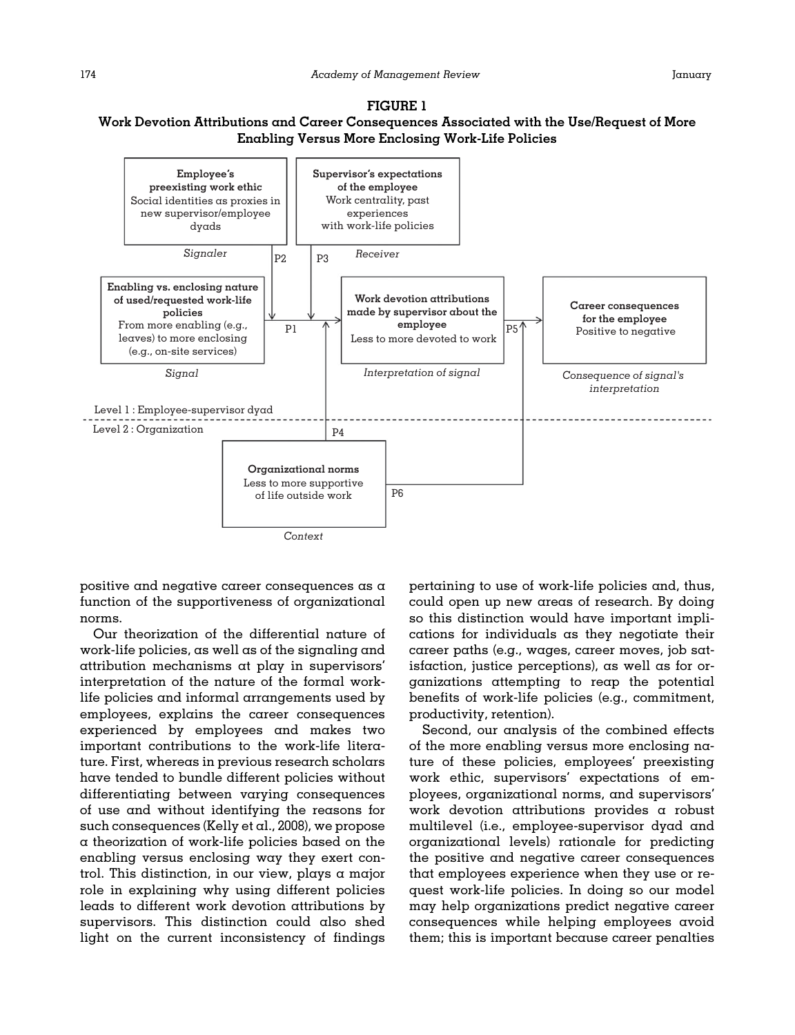# <span id="page-2-0"></span>FIGURE 1 Work Devotion Attributions and Career Consequences Associated with the Use/Request of More Enabling Versus More Enclosing Work-Life Policies



positive and negative career consequences as a function of the supportiveness of organizational norms.

Our theorization of the differential nature of work-life policies, as well as of the signaling and attribution mechanisms at play in supervisors' interpretation of the nature of the formal worklife policies and informal arrangements used by employees, explains the career consequences experienced by employees and makes two important contributions to the work-life literature. First, whereas in previous research scholars have tended to bundle different policies without differentiating between varying consequences of use and without identifying the reasons for such consequences ([Kelly et al., 2008\)](#page-18-0), we propose a theorization of work-life policies based on the enabling versus enclosing way they exert control. This distinction, in our view, plays a major role in explaining why using different policies leads to different work devotion attributions by supervisors. This distinction could also shed light on the current inconsistency of findings

pertaining to use of work-life policies and, thus, could open up new areas of research. By doing so this distinction would have important implications for individuals as they negotiate their career paths (e.g., wages, career moves, job satisfaction, justice perceptions), as well as for organizations attempting to reap the potential benefits of work-life policies (e.g., commitment, productivity, retention).

Second, our analysis of the combined effects of the more enabling versus more enclosing nature of these policies, employees' preexisting work ethic, supervisors' expectations of employees, organizational norms, and supervisors' work devotion attributions provides a robust multilevel (i.e., employee-supervisor dyad and organizational levels) rationale for predicting the positive and negative career consequences that employees experience when they use or request work-life policies. In doing so our model may help organizations predict negative career consequences while helping employees avoid them; this is important because career penalties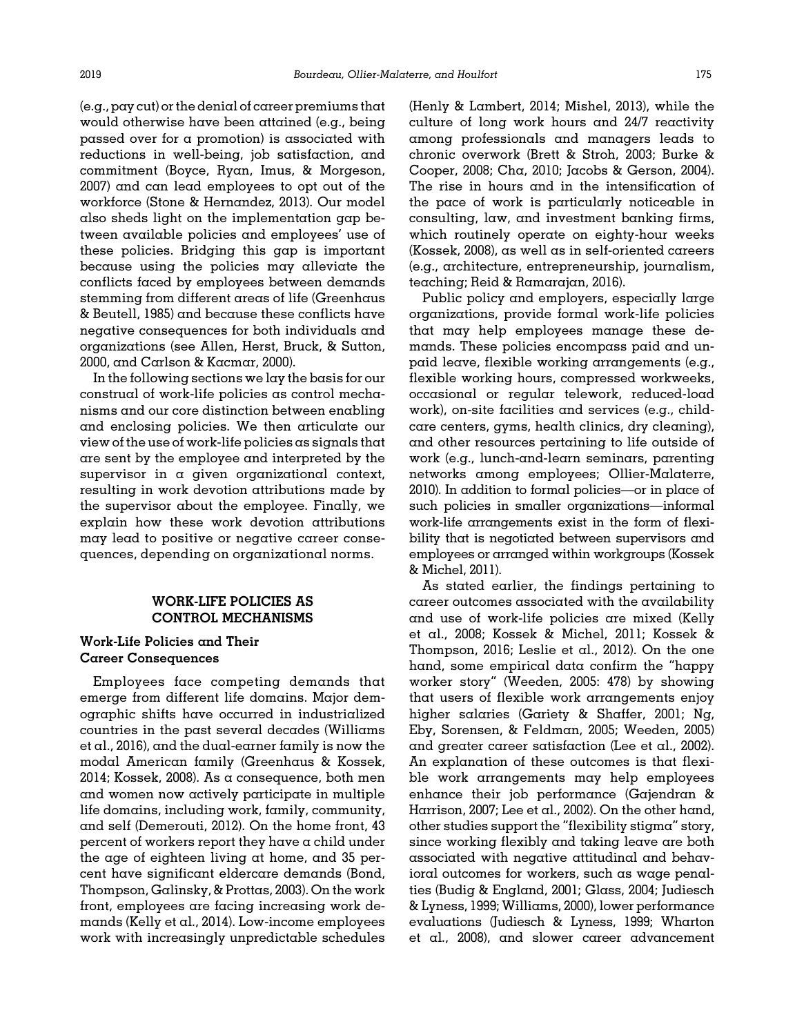(e.g., pay cut) or the denial of career premiums that would otherwise have been attained (e.g., being passed over for a promotion) is associated with reductions in well-being, job satisfaction, and commitment ([Boyce, Ryan, Imus,](#page-17-0) [& Morgeson,](#page-17-0) [2007\)](#page-17-0) and can lead employees to opt out of the workforce [\(Stone & Hernandez, 2013\)](#page-20-0). Our model also sheds light on the implementation gap between available policies and employees' use of these policies. Bridging this gap is important because using the policies may alleviate the conflicts faced by employees between demands stemming from different areas of life ([Greenhaus](#page-18-0) & [Beutell, 1985](#page-18-0)) and because these conflicts have negative consequences for both individuals and organizations (see [Allen, Herst, Bruck, & Sutton,](#page-16-0) [2000,](#page-16-0) and [Carlson](#page-17-0) [& Kacmar, 2000](#page-17-0)).

In the following sections we lay the basis for our construal of work-life policies as control mechanisms and our core distinction between enabling and enclosing policies. We then articulate our view of the use of work-life policies as signals that are sent by the employee and interpreted by the supervisor in a given organizational context, resulting in work devotion attributions made by the supervisor about the employee. Finally, we explain how these work devotion attributions may lead to positive or negative career consequences, depending on organizational norms.

## WORK-LIFE POLICIES AS CONTROL MECHANISMS

# Work-Life Policies and Their Career Consequences

Employees face competing demands that emerge from different life domains. Major demographic shifts have occurred in industrialized countries in the past several decades [\(Williams](#page-20-0) [et al., 2016\)](#page-20-0), and the dual-earner family is now the modal American family ([Greenhaus](#page-18-0) [& Kossek,](#page-18-0) [2014; Kossek, 2008](#page-18-0)). As a consequence, both men and women now actively participate in multiple life domains, including work, family, community, and self ([Demerouti, 2012](#page-17-0)). On the home front, 43 percent of workers report they have a child under the age of eighteen living at home, and 35 percent have significant eldercare demands ([Bond,](#page-17-0) [Thompson, Galinsky, & Prottas, 2003\)](#page-17-0). On the work front, employees are facing increasing work demands ([Kelly et al., 2014\)](#page-18-0). Low-income employees work with increasingly unpredictable schedules

([Henly & Lambert, 2014](#page-18-0); [Mishel, 2013](#page-19-0)), while the culture of long work hours and 24/7 reactivity among professionals and managers leads to chronic overwork ([Brett](#page-17-0) & [Stroh, 2003; Burke](#page-17-0) & [Cooper, 2008](#page-17-0); [Cha, 2010;](#page-17-0) [Jacobs](#page-18-0) [& Gerson, 2004\)](#page-18-0). The rise in hours and in the intensification of the pace of work is particularly noticeable in consulting, law, and investment banking firms, which routinely operate on eighty-hour weeks ([Kossek, 2008](#page-18-0)), as well as in self-oriented careers (e.g., architecture, entrepreneurship, journalism, teaching; [Reid & Ramarajan, 2016\)](#page-20-0).

Public policy and employers, especially large organizations, provide formal work-life policies that may help employees manage these demands. These policies encompass paid and unpaid leave, flexible working arrangements (e.g., flexible working hours, compressed workweeks, occasional or regular telework, reduced-load work), on-site facilities and services (e.g., childcare centers, gyms, health clinics, dry cleaning), and other resources pertaining to life outside of work (e.g., lunch-and-learn seminars, parenting networks among employees; [Ollier-Malaterre,](#page-19-0) [2010](#page-19-0)). In addition to formal policies—or in place of such policies in smaller organizations—informal work-life arrangements exist in the form of flexibility that is negotiated between supervisors and employees or arranged within workgroups [\(Kossek](#page-19-0) [& Michel, 2011](#page-19-0)).

As stated earlier, the findings pertaining to career outcomes associated with the availability and use of work-life policies are mixed [\(Kelly](#page-18-0) [et al., 2008](#page-18-0); [Kossek](#page-19-0) [& Michel, 2011; Kossek](#page-19-0) & [Thompson, 2016](#page-19-0); [Leslie et al., 2012\)](#page-19-0). On the one hand, some empirical data confirm the "happy worker story" ([Weeden, 2005:](#page-20-0) 478) by showing that users of flexible work arrangements enjoy higher salaries [\(Gariety & Shaffer, 2001](#page-18-0); [Ng,](#page-19-0) [Eby, Sorensen,](#page-19-0) [& Feldman, 2005;](#page-19-0) [Weeden, 2005](#page-20-0)) and greater career satisfaction [\(Lee et al., 2002\)](#page-19-0). An explanation of these outcomes is that flexible work arrangements may help employees enhance their job performance [\(Gajendran](#page-18-0) & [Harrison, 2007](#page-18-0); [Lee et al., 2002\)](#page-19-0). On the other hand, other studies support the "flexibility stigma" story, since working flexibly and taking leave are both associated with negative attitudinal and behavioral outcomes for workers, such as wage penalties [\(Budig](#page-17-0) [& England, 2001;](#page-17-0) [Glass, 2004](#page-18-0); [Judiesch](#page-18-0) [& Lyness, 1999;](#page-18-0) [Williams, 2000](#page-20-0)), lower performance evaluations ([Judiesch & Lyness, 1999;](#page-18-0) [Wharton](#page-20-0) [et al., 2008\)](#page-20-0), and slower career advancement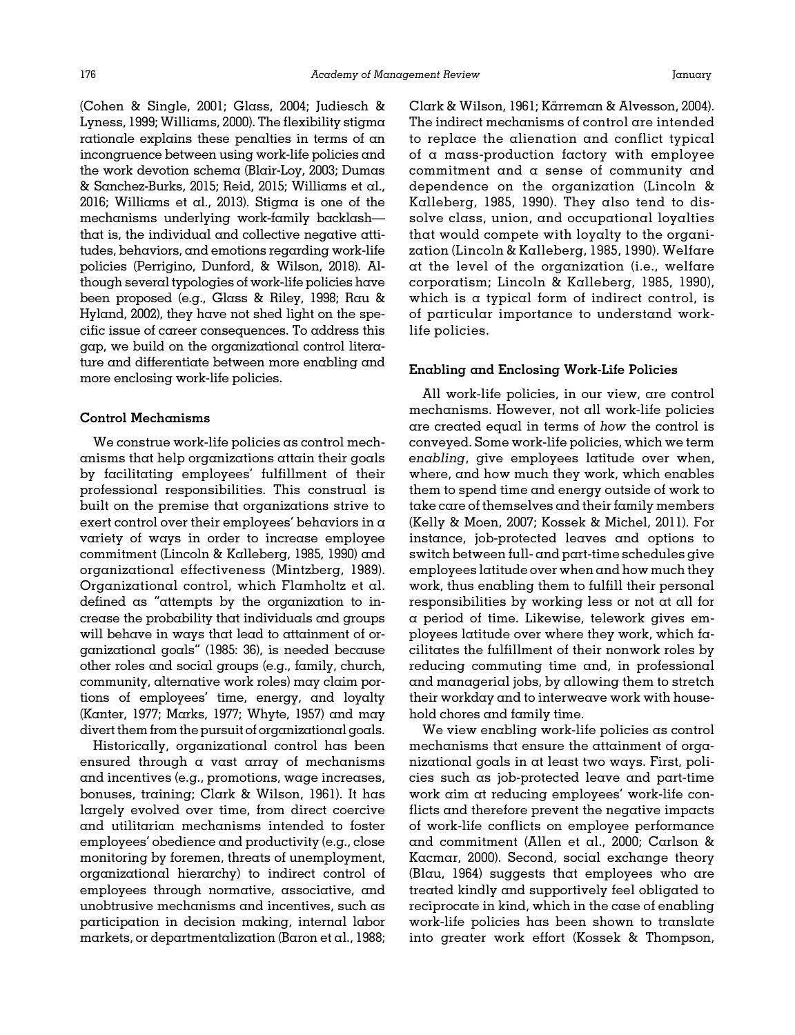[\(Cohen & Single, 2001;](#page-17-0) [Glass, 2004; Judiesch &](#page-18-0) [Lyness, 1999;](#page-18-0) [Williams, 2000\)](#page-20-0). The flexibility stigma rationale explains these penalties in terms of an incongruence between using work-life policies and the work devotion schema [\(Blair-Loy, 2003](#page-17-0); [Dumas](#page-17-0) & [Sanchez-Burks, 2015](#page-17-0); [Reid, 2015](#page-20-0); [Williams et al.,](#page-20-0) [2016; Williams et al., 2013](#page-20-0)). Stigma is one of the mechanisms underlying work-family backlash that is, the individual and collective negative attitudes, behaviors, and emotions regarding work-life policies [\(Perrigino, Dunford, & Wilson, 2018\)](#page-19-0). Although several typologies of work-life policies have been proposed (e.g., [Glass & Riley, 1998](#page-18-0); [Rau &](#page-20-0) [Hyland, 2002\)](#page-20-0), they have not shed light on the specific issue of career consequences. To address this gap, we build on the organizational control literature and differentiate between more enabling and more enclosing work-life policies.

## Control Mechanisms

We construe work-life policies as control mechanisms that help organizations attain their goals by facilitating employees' fulfillment of their professional responsibilities. This construal is built on the premise that organizations strive to exert control over their employees' behaviors in a variety of ways in order to increase employee commitment ([Lincoln](#page-19-0) & [Kalleberg, 1985, 1990\)](#page-19-0) and organizational effectiveness ([Mintzberg, 1989\)](#page-19-0). Organizational control, which Flamholtz et al. defined as "attempts by the organization to increase the probability that individuals and groups will behave in ways that lead to attainment of organizational goals" (1985: 36), is needed because other roles and social groups (e.g., family, church, community, alternative work roles) may claim portions of employees' time, energy, and loyalty [\(Kanter, 1977](#page-18-0); [Marks, 1977](#page-19-0); [Whyte, 1957\)](#page-20-0) and may divert them from the pursuit of organizational goals.

Historically, organizational control has been ensured through a vast array of mechanisms and incentives (e.g., promotions, wage increases, bonuses, training; [Clark](#page-17-0) [& Wilson, 1961](#page-17-0)). It has largely evolved over time, from direct coercive and utilitarian mechanisms intended to foster employees' obedience and productivity (e.g., close monitoring by foremen, threats of unemployment, organizational hierarchy) to indirect control of employees through normative, associative, and unobtrusive mechanisms and incentives, such as participation in decision making, internal labor markets, or departmentalization ([Baron et al., 1988;](#page-17-0)

[Clark](#page-17-0) [& Wilson, 1961](#page-17-0); [Karreman](#page-18-0) [& Alvesson, 2004](#page-18-0)). ¨ The indirect mechanisms of control are intended to replace the alienation and conflict typical of a mass-production factory with employee commitment and a sense of community and dependence on the organization ([Lincoln](#page-19-0) & [Kalleberg, 1985, 1990\)](#page-19-0). They also tend to dissolve class, union, and occupational loyalties that would compete with loyalty to the organization ([Lincoln & Kalleberg, 1985, 1990\)](#page-19-0). Welfare at the level of the organization (i.e., welfare corporatism; [Lincoln](#page-19-0) & [Kalleberg, 1985, 1990\)](#page-19-0), which is a typical form of indirect control, is of particular importance to understand worklife policies.

### Enabling and Enclosing Work-Life Policies

All work-life policies, in our view, are control mechanisms. However, not all work-life policies are created equal in terms of how the control is conveyed. Some work-life policies, which we term enabling, give employees latitude over when, where, and how much they work, which enables them to spend time and energy outside of work to take care of themselves and their family members ([Kelly](#page-18-0) & [Moen, 2007;](#page-18-0) [Kossek & Michel, 2011](#page-19-0)). For instance, job-protected leaves and options to switch between full- and part-time schedules give employees latitude over when and how much they work, thus enabling them to fulfill their personal responsibilities by working less or not at all for a period of time. Likewise, telework gives employees latitude over where they work, which facilitates the fulfillment of their nonwork roles by reducing commuting time and, in professional and managerial jobs, by allowing them to stretch their workday and to interweave work with household chores and family time.

We view enabling work-life policies as control mechanisms that ensure the attainment of organizational goals in at least two ways. First, policies such as job-protected leave and part-time work aim at reducing employees' work-life conflicts and therefore prevent the negative impacts of work-life conflicts on employee performance and commitment ([Allen et al., 2000](#page-16-0); [Carlson](#page-17-0) & [Kacmar, 2000\)](#page-17-0). Second, social exchange theory ([Blau, 1964\)](#page-17-0) suggests that employees who are treated kindly and supportively feel obligated to reciprocate in kind, which in the case of enabling work-life policies has been shown to translate into greater work effort [\(Kossek & Thompson,](#page-19-0)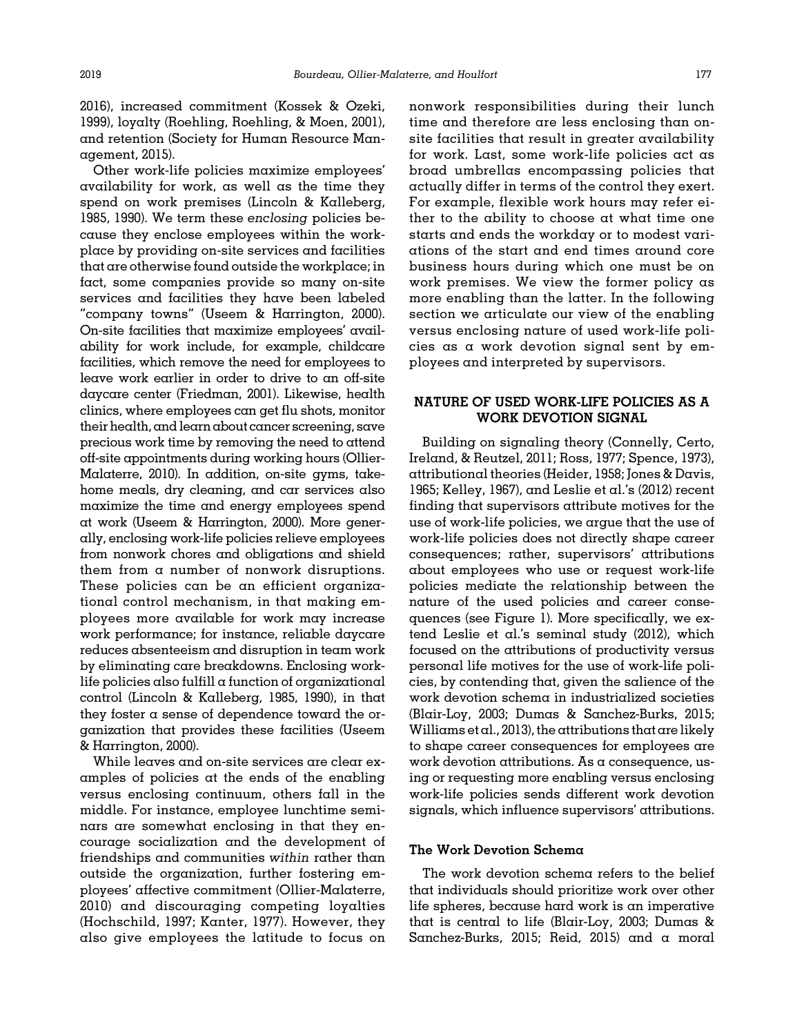[2016\)](#page-19-0), increased commitment ([Kossek](#page-19-0) [& Ozeki,](#page-19-0) [1999\)](#page-19-0), loyalty ([Roehling, Roehling,](#page-20-0) [& Moen, 2001\)](#page-20-0), and retention ([Society for Human Resource Man](#page-20-0)[agement, 2015\)](#page-20-0).

Other work-life policies maximize employees' availability for work, as well as the time they spend on work premises [\(Lincoln](#page-19-0) & [Kalleberg,](#page-19-0) [1985, 1990](#page-19-0)). We term these enclosing policies because they enclose employees within the workplace by providing on-site services and facilities that are otherwise found outside the workplace; in fact, some companies provide so many on-site services and facilities they have been labeled "company towns" [\(Useem & Harrington, 2000\)](#page-20-0). On-site facilities that maximize employees' availability for work include, for example, childcare facilities, which remove the need for employees to leave work earlier in order to drive to an off-site daycare center ([Friedman, 2001\)](#page-18-0). Likewise, health clinics, where employees can get flu shots, monitor their health, and learn about cancer screening, save precious work time by removing the need to attend off-site appointments during working hours ([Ollier-](#page-19-0)[Malaterre, 2010](#page-19-0)). In addition, on-site gyms, takehome meals, dry cleaning, and car services also maximize the time and energy employees spend at work ([Useem & Harrington, 2000\)](#page-20-0). More generally, enclosing work-life policies relieve employees from nonwork chores and obligations and shield them from a number of nonwork disruptions. These policies can be an efficient organizational control mechanism, in that making employees more available for work may increase work performance; for instance, reliable daycare reduces absenteeism and disruption in team work by eliminating care breakdowns. Enclosing worklife policies also fulfill  $\alpha$  function of organizational control ([Lincoln & Kalleberg, 1985](#page-19-0), [1990\)](#page-19-0), in that they foster  $\alpha$  sense of dependence toward the organization that provides these facilities [\(Useem](#page-20-0) & [Harrington, 2000\)](#page-20-0).

While leaves and on-site services are clear examples of policies at the ends of the enabling versus enclosing continuum, others fall in the middle. For instance, employee lunchtime seminars are somewhat enclosing in that they encourage socialization and the development of friendships and communities within rather than outside the organization, further fostering employees' affective commitment ([Ollier-Malaterre,](#page-19-0) [2010\)](#page-19-0) and discouraging competing loyalties ([Hochschild, 1997; Kanter, 1977](#page-18-0)). However, they also give employees the latitude to focus on

nonwork responsibilities during their lunch time and therefore are less enclosing than onsite facilities that result in greater availability for work. Last, some work-life policies act as broad umbrellas encompassing policies that actually differ in terms of the control they exert. For example, flexible work hours may refer either to the ability to choose at what time one starts and ends the workday or to modest variations of the start and end times around core business hours during which one must be on work premises. We view the former policy as more enabling than the latter. In the following section we articulate our view of the enabling versus enclosing nature of used work-life policies as a work devotion signal sent by employees and interpreted by supervisors.

# NATURE OF USED WORK-LIFE POLICIES AS A WORK DEVOTION SIGNAL

Building on signaling theory [\(Connelly, Certo,](#page-17-0) [Ireland, & Reutzel, 2011;](#page-17-0) [Ross, 1977](#page-20-0); [Spence, 1973\)](#page-20-0), attributional theories ([Heider, 1958](#page-18-0); [Jones & Davis,](#page-18-0) [1965; Kelley, 1967\)](#page-18-0), and [Leslie et al.](#page-19-0)'s (2012) recent finding that supervisors attribute motives for the use of work-life policies, we argue that the use of work-life policies does not directly shape career consequences; rather, supervisors' attributions about employees who use or request work-life policies mediate the relationship between the nature of the used policies and career consequences (see [Figure 1](#page-2-0)). More specifically, we extend Leslie et al.'s seminal study (2012), which focused on the attributions of productivity versus personal life motives for the use of work-life policies, by contending that, given the salience of the work devotion schema in industrialized societies ([Blair-Loy, 2003](#page-17-0); [Dumas & Sanchez-Burks, 2015;](#page-17-0) [Williams et al., 2013\)](#page-20-0), the attributions that are likely to shape career consequences for employees are work devotion attributions. As a consequence, using or requesting more enabling versus enclosing work-life policies sends different work devotion signals, which influence supervisors' attributions.

## The Work Devotion Schema

The work devotion schema refers to the belief that individuals should prioritize work over other life spheres, because hard work is an imperative that is central to life [\(Blair-Loy, 2003](#page-17-0); [Dumas](#page-17-0) & [Sanchez-Burks, 2015;](#page-17-0) [Reid, 2015\)](#page-20-0) and a moral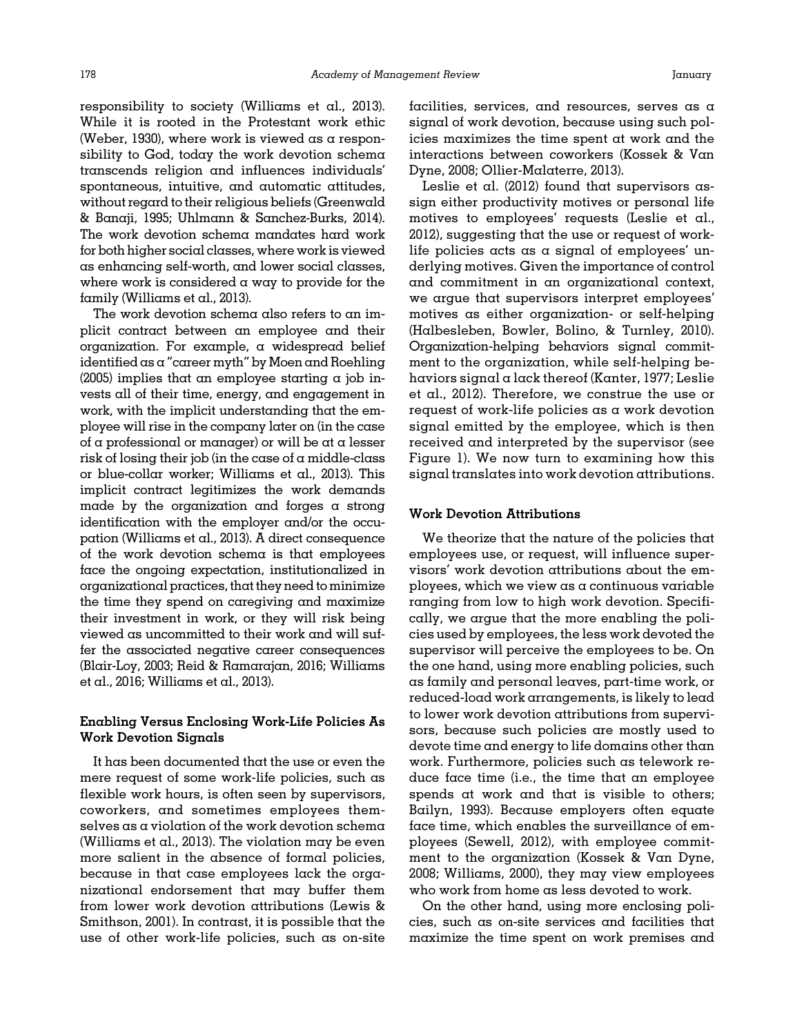responsibility to society ([Williams et al., 2013\)](#page-20-0). While it is rooted in the Protestant work ethic [\(Weber, 1930\)](#page-20-0), where work is viewed as a responsibility to God, today the work devotion schema transcends religion and influences individuals' spontaneous, intuitive, and automatic attitudes, without regard to their religious beliefs [\(Greenwald](#page-18-0) & [Banaji, 1995](#page-18-0); [Uhlmann & Sanchez-Burks, 2014](#page-20-0)). The work devotion schema mandates hard work for both higher social classes, where work is viewed as enhancing self-worth, and lower social classes, where work is considered a way to provide for the family ([Williams et al., 2013](#page-20-0)).

The work devotion schema also refers to an implicit contract between an employee and their organization. For example, a widespread belief identified as a "career myth" by [Moen and Roehling](#page-19-0) [\(2005\)](#page-19-0) implies that an employee starting  $\alpha$  job invests all of their time, energy, and engagement in work, with the implicit understanding that the employee will rise in the company later on (in the case of  $\alpha$  professional or manager) or will be at  $\alpha$  lesser risk of losing their job (in the case of  $\alpha$  middle-class or blue-collar worker; [Williams et al., 2013](#page-20-0)). This implicit contract legitimizes the work demands made by the organization and forges a strong identification with the employer and/or the occupation ([Williams et al., 2013\)](#page-20-0). A direct consequence of the work devotion schema is that employees face the ongoing expectation, institutionalized in organizational practices, that they need tominimize the time they spend on caregiving and maximize their investment in work, or they will risk being viewed as uncommitted to their work and will suffer the associated negative career consequences [\(Blair-Loy, 2003](#page-17-0); [Reid](#page-20-0) [& Ramarajan, 2016](#page-20-0); [Williams](#page-20-0) [et al., 2016; Williams et al., 2013](#page-20-0)).

# Enabling Versus Enclosing Work-Life Policies As Work Devotion Signals

It has been documented that the use or even the mere request of some work-life policies, such as flexible work hours, is often seen by supervisors, coworkers, and sometimes employees themselves as a violation of the work devotion schema [\(Williams et al., 2013](#page-20-0)). The violation may be even more salient in the absence of formal policies, because in that case employees lack the organizational endorsement that may buffer them from lower work devotion attributions [\(Lewis &](#page-19-0) [Smithson, 2001\)](#page-19-0). In contrast, it is possible that the use of other work-life policies, such as on-site

facilities, services, and resources, serves as a signal of work devotion, because using such policies maximizes the time spent at work and the interactions between coworkers [\(Kossek & Van](#page-19-0) [Dyne, 2008](#page-19-0); [Ollier-Malaterre, 2013\)](#page-19-0).

[Leslie et al. \(2012\)](#page-19-0) found that supervisors assign either productivity motives or personal life motives to employees' requests [\(Leslie et al.,](#page-19-0) [2012\)](#page-19-0), suggesting that the use or request of worklife policies acts as a signal of employees' underlying motives. Given the importance of control and commitment in an organizational context, we argue that supervisors interpret employees' motives as either organization- or self-helping ([Halbesleben, Bowler, Bolino, & Turnley, 2010\)](#page-18-0). Organization-helping behaviors signal commitment to the organization, while self-helping behaviors signal a lack thereof [\(Kanter, 1977](#page-18-0); [Leslie](#page-19-0) [et al., 2012](#page-19-0)). Therefore, we construe the use or request of work-life policies as a work devotion signal emitted by the employee, which is then received and interpreted by the supervisor (see [Figure 1](#page-2-0)). We now turn to examining how this signal translates into work devotion attributions.

### Work Devotion Attributions

We theorize that the nature of the policies that employees use, or request, will influence supervisors' work devotion attributions about the employees, which we view as a continuous variable ranging from low to high work devotion. Specifically, we argue that the more enabling the policies used by employees, the less work devoted the supervisor will perceive the employees to be. On the one hand, using more enabling policies, such as family and personal leaves, part-time work, or reduced-load work arrangements, is likely to lead to lower work devotion attributions from supervisors, because such policies are mostly used to devote time and energy to life domains other than work. Furthermore, policies such as telework reduce face time (i.e., the time that an employee spends at work and that is visible to others; [Bailyn, 1993\)](#page-17-0). Because employers often equate face time, which enables the surveillance of employees [\(Sewell, 2012](#page-20-0)), with employee commitment to the organization [\(Kossek & Van Dyne,](#page-19-0) [2008;](#page-19-0) [Williams, 2000\)](#page-20-0), they may view employees who work from home as less devoted to work.

On the other hand, using more enclosing policies, such as on-site services and facilities that maximize the time spent on work premises and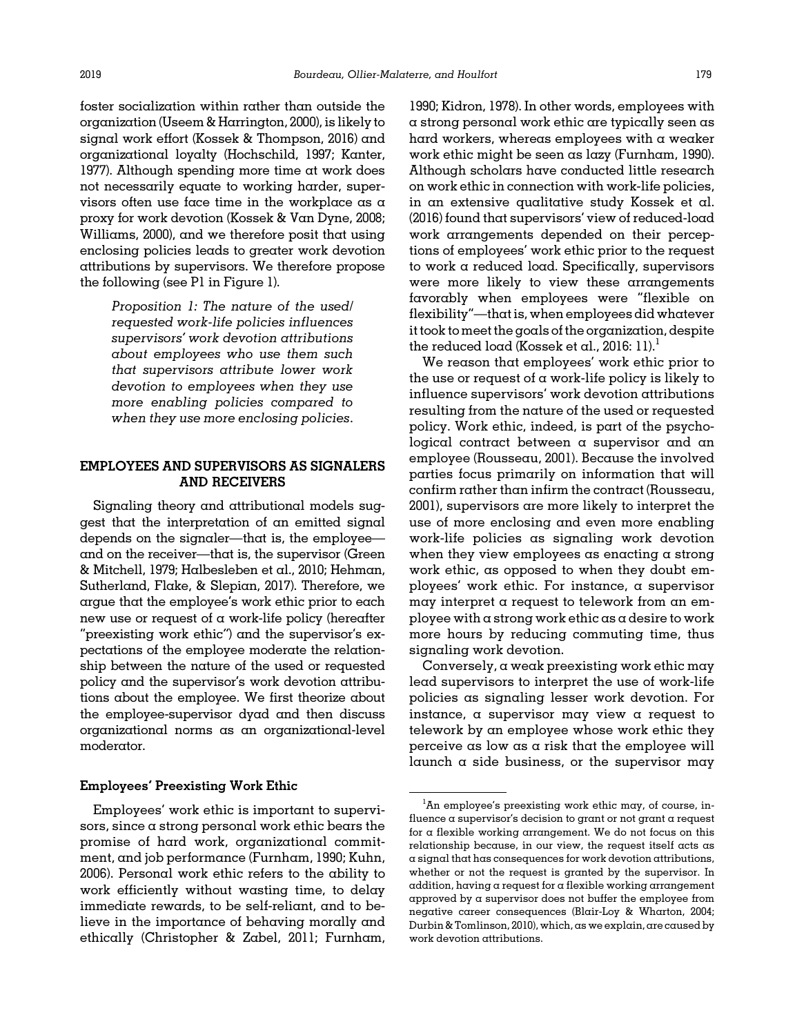foster socialization within rather than outside the organization [\(Useem](#page-20-0) & [Harrington, 2000](#page-20-0)), is likely to signal work effort [\(Kossek & Thompson, 2016\)](#page-19-0) and organizational loyalty [\(Hochschild, 1997; Kanter,](#page-18-0) [1977](#page-18-0)). Although spending more time at work does not necessarily equate to working harder, supervisors often use face time in the workplace as  $\alpha$ proxy for work devotion [\(Kossek](#page-19-0) [& Van Dyne, 2008;](#page-19-0) [Williams, 2000](#page-20-0)), and we therefore posit that using enclosing policies leads to greater work devotion attributions by supervisors. We therefore propose the following (see P1 in [Figure 1](#page-2-0)).

> Proposition 1: The nature of the used/ requested work-life policies influences supervisors' work devotion attributions about employees who use them such that supervisors attribute lower work devotion to employees when they use more enabling policies compared to when they use more enclosing policies.

## EMPLOYEES AND SUPERVISORS AS SIGNALERS AND RECEIVERS

Signaling theory and attributional models suggest that the interpretation of an emitted signal depends on the signaler—that is, the employee and on the receiver—that is, the supervisor ([Green](#page-18-0) & [Mitchell, 1979; Halbesleben et al., 2010](#page-18-0); [Hehman,](#page-18-0) [Sutherland, Flake, & Slepian, 2017](#page-18-0)). Therefore, we argue that the employee's work ethic prior to each new use or request of a work-life policy (hereafter "preexisting work ethic") and the supervisor's expectations of the employee moderate the relationship between the nature of the used or requested policy and the supervisor's work devotion attributions about the employee. We first theorize about the employee-supervisor dyad and then discuss organizational norms as an organizational-level moderator.

## Employees' Preexisting Work Ethic

Employees' work ethic is important to supervisors, since a strong personal work ethic bears the promise of hard work, organizational commitment, and job performance ([Furnham, 1990](#page-18-0); [Kuhn,](#page-19-0) [2006\)](#page-19-0). Personal work ethic refers to the ability to work efficiently without wasting time, to delay immediate rewards, to be self-reliant, and to believe in the importance of behaving morally and ethically [\(Christopher & Zabel, 2011](#page-17-0); [Furnham,](#page-18-0)

[1990; Kidron, 1978\)](#page-18-0). In other words, employees with a strong personal work ethic are typically seen as hard workers, whereas employees with a weaker work ethic might be seen as lazy [\(Furnham, 1990](#page-18-0)). Although scholars have conducted little research on work ethic in connection with work-life policies, in an extensive qualitative study [Kossek et al.](#page-19-0) [\(2016\)](#page-19-0) found that supervisors' view of reduced-load work arrangements depended on their perceptions of employees' work ethic prior to the request to work a reduced load. Specifically, supervisors were more likely to view these arrangements favorably when employees were "flexible on flexibility"—that is, when employees did whatever it took tomeet the goals of the organization, despite the reduced load [\(Kossek et al., 2016](#page-19-0): 11).<sup>1</sup>

We reason that employees' work ethic prior to the use or request of  $\alpha$  work-life policy is likely to influence supervisors' work devotion attributions resulting from the nature of the used or requested policy. Work ethic, indeed, is part of the psychological contract between a supervisor and an employee ([Rousseau, 2001](#page-20-0)). Because the involved parties focus primarily on information that will confirm rather than infirm the contract ([Rousseau,](#page-20-0) [2001\)](#page-20-0), supervisors are more likely to interpret the use of more enclosing and even more enabling work-life policies as signaling work devotion when they view employees as enacting a strong work ethic, as opposed to when they doubt employees' work ethic. For instance, a supervisor may interpret a request to telework from an employee with a strong work ethic as a desire to work more hours by reducing commuting time, thus signaling work devotion.

Conversely, a weak preexisting work ethic may lead supervisors to interpret the use of work-life policies as signaling lesser work devotion. For instance, a supervisor may view a request to telework by an employee whose work ethic they perceive as low as a risk that the employee will launch a side business, or the supervisor may

 ${}^{1}\text{An}$  employee's preexisting work ethic may, of course, influence a supervisor's decision to grant or not grant a request for a flexible working arrangement. We do not focus on this relationship because, in our view, the request itself acts as a signal that has consequences for work devotion attributions, whether or not the request is granted by the supervisor. In addition, having a request for a flexible working arrangement approved by a supervisor does not buffer the employee from negative career consequences ([Blair-Loy & Wharton, 2004](#page-17-0); [Durbin & Tomlinson, 2010](#page-17-0)), which, as we explain, are caused by work devotion attributions.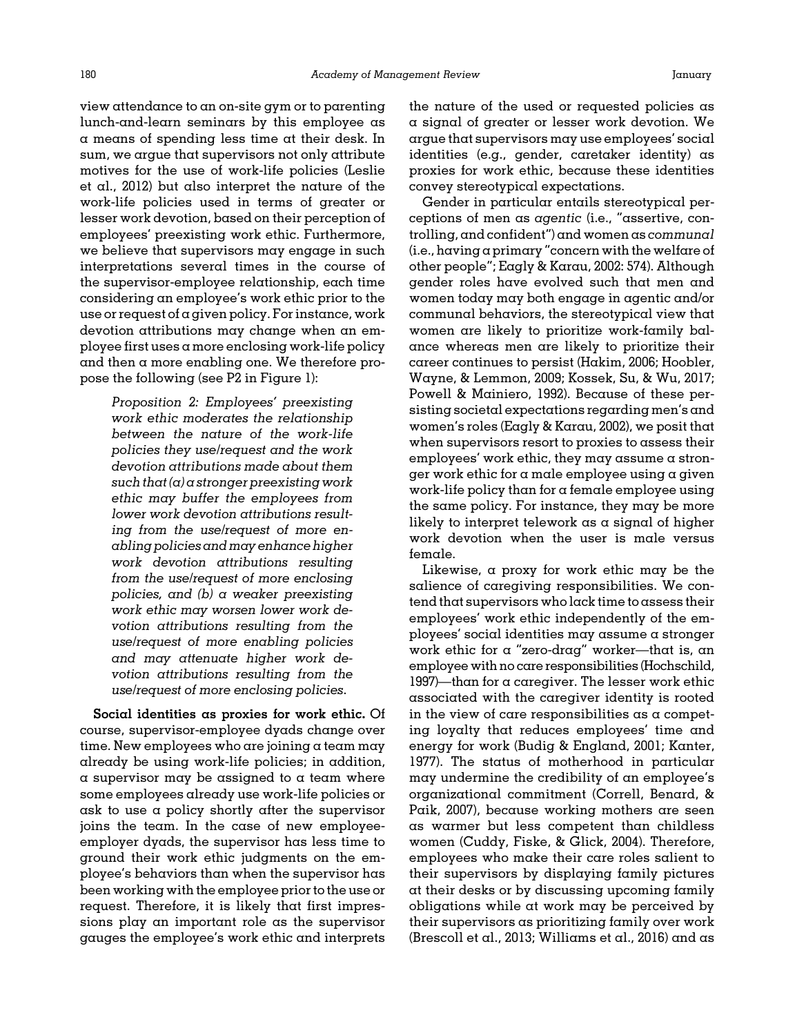view attendance to an on-site gym or to parenting lunch-and-learn seminars by this employee as a means of spending less time at their desk. In sum, we argue that supervisors not only attribute motives for the use of work-life policies [\(Leslie](#page-19-0) [et al., 2012](#page-19-0)) but also interpret the nature of the work-life policies used in terms of greater or lesser work devotion, based on their perception of employees' preexisting work ethic. Furthermore, we believe that supervisors may engage in such interpretations several times in the course of the supervisor-employee relationship, each time considering an employee's work ethic prior to the use or request of a given policy. For instance, work devotion attributions may change when an employee first uses a more enclosing work-life policy and then a more enabling one. We therefore propose the following (see P2 in [Figure 1\)](#page-2-0):

> Proposition 2: Employees' preexisting work ethic moderates the relationship between the nature of the work-life policies they use/request and the work devotion attributions made about them such that  $(a)$  a stronger preexisting work ethic may buffer the employees from lower work devotion attributions resulting from the use/request of more enabling policies and may enhance higher work devotion attributions resulting from the use/request of more enclosing policies, and (b) a weaker preexisting work ethic may worsen lower work devotion attributions resulting from the use/request of more enabling policies and may attenuate higher work devotion attributions resulting from the use/request of more enclosing policies.

Social identities as proxies for work ethic. Of course, supervisor-employee dyads change over time. New employees who are joining a team may already be using work-life policies; in addition, a supervisor may be assigned to a team where some employees already use work-life policies or ask to use a policy shortly after the supervisor joins the team. In the case of new employeeemployer dyads, the supervisor has less time to ground their work ethic judgments on the employee's behaviors than when the supervisor has been working with the employee prior to the use or request. Therefore, it is likely that first impressions play an important role as the supervisor gauges the employee's work ethic and interprets

the nature of the used or requested policies as a signal of greater or lesser work devotion. We argue that supervisors may use employees' social identities (e.g., gender, caretaker identity) as proxies for work ethic, because these identities convey stereotypical expectations.

Gender in particular entails stereotypical perceptions of men as agentic (i.e., "assertive, controlling, and confident") and women as communal (i.e., having a primary "concern with the welfare of other people"; [Eagly & Karau, 2002](#page-17-0): 574). Although gender roles have evolved such that men and women today may both engage in agentic and/or communal behaviors, the stereotypical view that women are likely to prioritize work-family balance whereas men are likely to prioritize their career continues to persist [\(Hakim, 2006; Hoobler,](#page-18-0) [Wayne,](#page-18-0) [& Lemmon, 2009;](#page-18-0) [Kossek, Su, & Wu, 2017;](#page-19-0) [Powell & Mainiero, 1992](#page-20-0)). Because of these persisting societal expectations regarding men's and women's roles ([Eagly & Karau, 2002\)](#page-17-0), we posit that when supervisors resort to proxies to assess their employees' work ethic, they may assume a stronger work ethic for  $\alpha$  male employee using  $\alpha$  given work-life policy than for a female employee using the same policy. For instance, they may be more likely to interpret telework as a signal of higher work devotion when the user is male versus female.

Likewise, a proxy for work ethic may be the salience of caregiving responsibilities. We contend that supervisors who lack time to assess their employees' work ethic independently of the employees' social identities may assume a stronger work ethic for a "zero-drag" worker—that is, an employee with no care responsibilities [\(Hochschild,](#page-18-0) [1997](#page-18-0))—than for a caregiver. The lesser work ethic associated with the caregiver identity is rooted in the view of care responsibilities as a competing loyalty that reduces employees' time and energy for work [\(Budig](#page-17-0) [& England, 2001](#page-17-0); [Kanter,](#page-18-0) [1977](#page-18-0)). The status of motherhood in particular may undermine the credibility of an employee's organizational commitment ([Correll, Benard,](#page-17-0) & [Paik, 2007\)](#page-17-0), because working mothers are seen as warmer but less competent than childless women [\(Cuddy, Fiske,](#page-17-0) & [Glick, 2004\)](#page-17-0). Therefore, employees who make their care roles salient to their supervisors by displaying family pictures at their desks or by discussing upcoming family obligations while at work may be perceived by their supervisors as prioritizing family over work ([Brescoll et al., 2013;](#page-17-0) [Williams et al., 2016](#page-20-0)) and as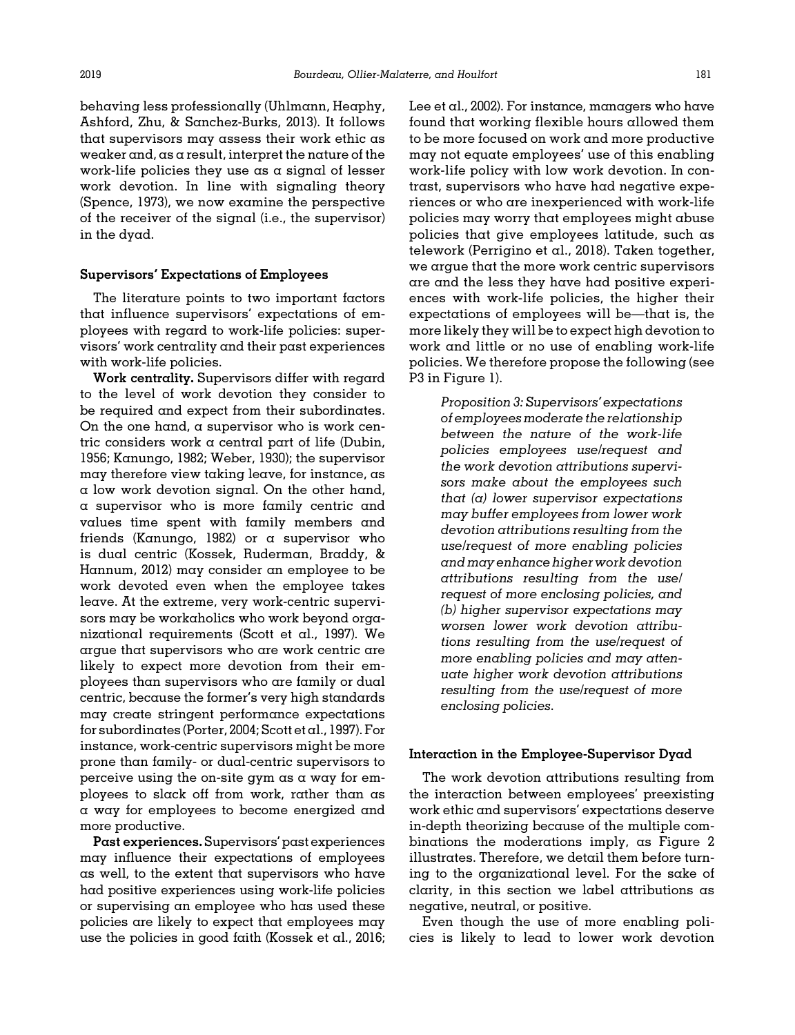behaving less professionally (Uhlmann, Heaphy, Ashford, Zhu, & Sanchez-Burks, 2013). It follows that supervisors may assess their work ethic as weaker and, as a result, interpret the nature of the work-life policies they use as a signal of lesser work devotion. In line with signaling theory ([Spence, 1973\)](#page-20-0), we now examine the perspective of the receiver of the signal (i.e., the supervisor) in the dyad.

### Supervisors' Expectations of Employees

The literature points to two important factors that influence supervisors' expectations of employees with regard to work-life policies: supervisors' work centrality and their past experiences with work-life policies.

Work centrality. Supervisors differ with regard to the level of work devotion they consider to be required and expect from their subordinates. On the one hand, a supervisor who is work centric considers work a central part of life [\(Dubin,](#page-17-0) [1956;](#page-17-0) [Kanungo, 1982](#page-18-0); [Weber, 1930](#page-20-0)); the supervisor may therefore view taking leave, for instance, as a low work devotion signal. On the other hand, a supervisor who is more family centric and values time spent with family members and friends [\(Kanungo, 1982\)](#page-18-0) or a supervisor who is dual centric ([Kossek, Ruderman, Braddy, &](#page-19-0) [Hannum, 2012\)](#page-19-0) may consider an employee to be work devoted even when the employee takes leave. At the extreme, very work-centric supervisors may be workaholics who work beyond organizational requirements ([Scott et al., 1997](#page-20-0)). We argue that supervisors who are work centric are likely to expect more devotion from their employees than supervisors who are family or dual centric, because the former's very high standards may create stringent performance expectations for subordinates ([Porter, 2004](#page-20-0); [Scott et al., 1997\)](#page-20-0). For instance, work-centric supervisors might be more prone than family- or dual-centric supervisors to perceive using the on-site gym  $as \alpha$  way for employees to slack off from work, rather than as a way for employees to become energized and more productive.

Past experiences. Supervisors'past experiences may influence their expectations of employees as well, to the extent that supervisors who have had positive experiences using work-life policies or supervising an employee who has used these policies are likely to expect that employees may use the policies in good faith [\(Kossek et al., 2016;](#page-19-0) [Lee et al., 2002](#page-19-0)). For instance, managers who have found that working flexible hours allowed them to be more focused on work and more productive may not equate employees' use of this enabling work-life policy with low work devotion. In contrast, supervisors who have had negative experiences or who are inexperienced with work-life policies may worry that employees might abuse policies that give employees latitude, such as telework [\(Perrigino et al., 2018\)](#page-19-0). Taken together, we argue that the more work centric supervisors are and the less they have had positive experiences with work-life policies, the higher their expectations of employees will be—that is, the more likely they will be to expect high devotion to work and little or no use of enabling work-life policies. We therefore propose the following (see P3 in [Figure 1](#page-2-0)).

> Proposition 3: Supervisors' expectations of employees moderate the relationship between the nature of the work-life policies employees use/request and the work devotion attributions supervisors make about the employees such that  $(a)$  lower supervisor expectations may buffer employees from lower work devotion attributions resulting from the use/request of more enabling policies and may enhance higher work devotion attributions resulting from the use/ request of more enclosing policies, and (b) higher supervisor expectations may worsen lower work devotion attributions resulting from the use/request of more enabling policies and may attenuate higher work devotion attributions resulting from the use/request of more enclosing policies.

#### Interaction in the Employee-Supervisor Dyad

The work devotion attributions resulting from the interaction between employees' preexisting work ethic and supervisors' expectations deserve in-depth theorizing because of the multiple combinations the moderations imply, as [Figure 2](#page-10-0) illustrates. Therefore, we detail them before turning to the organizational level. For the sake of clarity, in this section we label attributions as negative, neutral, or positive.

Even though the use of more enabling policies is likely to lead to lower work devotion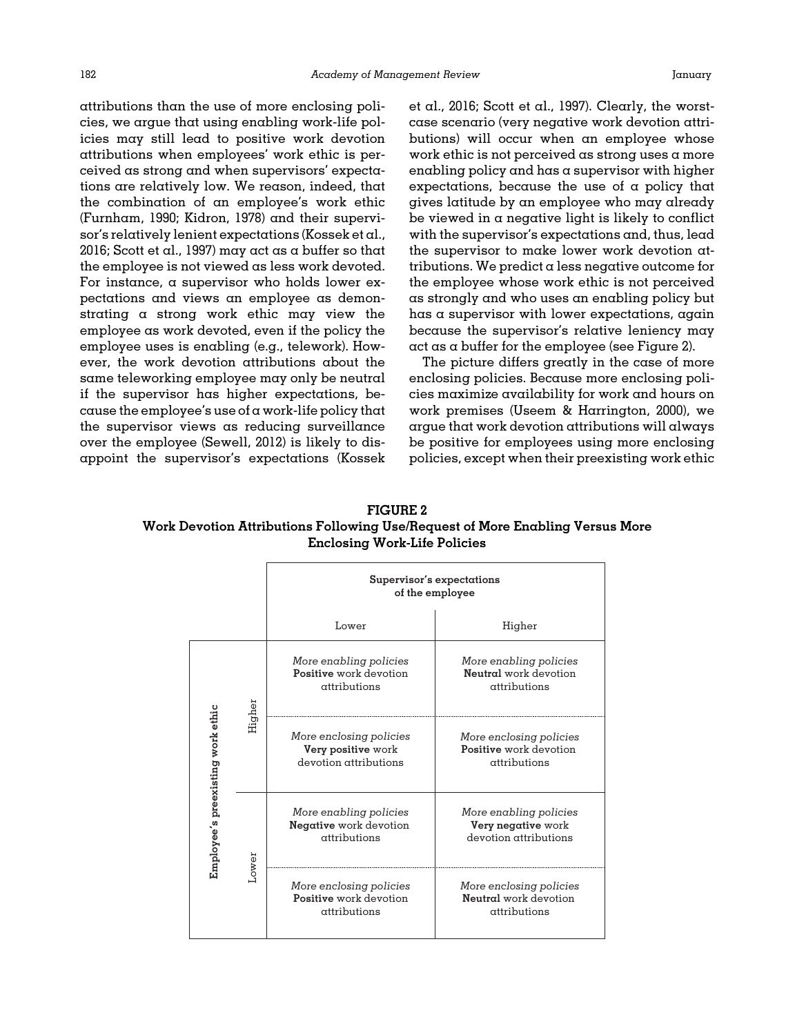<span id="page-10-0"></span>attributions than the use of more enclosing policies, we argue that using enabling work-life policies may still lead to positive work devotion attributions when employees' work ethic is perceived as strong and when supervisors' expectations are relatively low. We reason, indeed, that the combination of an employee's work ethic [\(Furnham, 1990; Kidron, 1978\)](#page-18-0) and their supervisor's relatively lenient expectations [\(Kossek et al.,](#page-19-0) [2016;](#page-19-0) [Scott et al., 1997\)](#page-20-0) may act as a buffer so that the employee is not viewed as less work devoted. For instance, a supervisor who holds lower expectations and views an employee as demonstrating a strong work ethic may view the employee as work devoted, even if the policy the employee uses is enabling (e.g., telework). However, the work devotion attributions about the same teleworking employee may only be neutral if the supervisor has higher expectations, be $ca$ use the employee's use of  $\alpha$  work-life policy that the supervisor views as reducing surveillance over the employee [\(Sewell, 2012](#page-20-0)) is likely to disappoint the supervisor's expectations ([Kossek](#page-19-0)

[et al., 2016;](#page-19-0) [Scott et al., 1997\)](#page-20-0). Clearly, the worstcase scenario (very negative work devotion attributions) will occur when an employee whose work ethic is not perceived as strong uses a more enabling policy and has a supervisor with higher expectations, because the use of  $\alpha$  policy that gives latitude by an employee who may already be viewed in a negative light is likely to conflict with the supervisor's expectations and, thus, lead the supervisor to make lower work devotion attributions. We predict  $\alpha$  less negative outcome for the employee whose work ethic is not perceived as strongly and who uses an enabling policy but has a supervisor with lower expectations, again because the supervisor's relative leniency may act as a buffer for the employee (see Figure 2).

The picture differs greatly in the case of more enclosing policies. Because more enclosing policies maximize availability for work and hours on work premises ([Useem & Harrington, 2000\)](#page-20-0), we argue that work devotion attributions will always be positive for employees using more enclosing policies, except when their preexisting work ethic

FIGURE 2 Work Devotion Attributions Following Use/Request of More Enabling Versus More Enclosing Work-Life Policies

|                                   |        | Supervisor's expectations<br>of the employee                           |                                                                       |
|-----------------------------------|--------|------------------------------------------------------------------------|-----------------------------------------------------------------------|
|                                   |        | Lower                                                                  | Higher                                                                |
| Employee's preexisting work ethic | Higher | More enabling policies<br>Positive work devotion<br>attributions       | More enabling policies<br>Neutral work devotion<br>attributions       |
|                                   |        | More enclosing policies<br>Very positive work<br>devotion attributions | More enclosing policies<br>Positive work devotion<br>attributions     |
|                                   | Lower  | More enabling policies<br>Negative work devotion<br>attributions       | More enabling policies<br>Very negative work<br>devotion attributions |
|                                   |        | More enclosing policies<br>Positive work devotion<br>attributions      | More enclosing policies<br>Neutral work devotion<br>attributions      |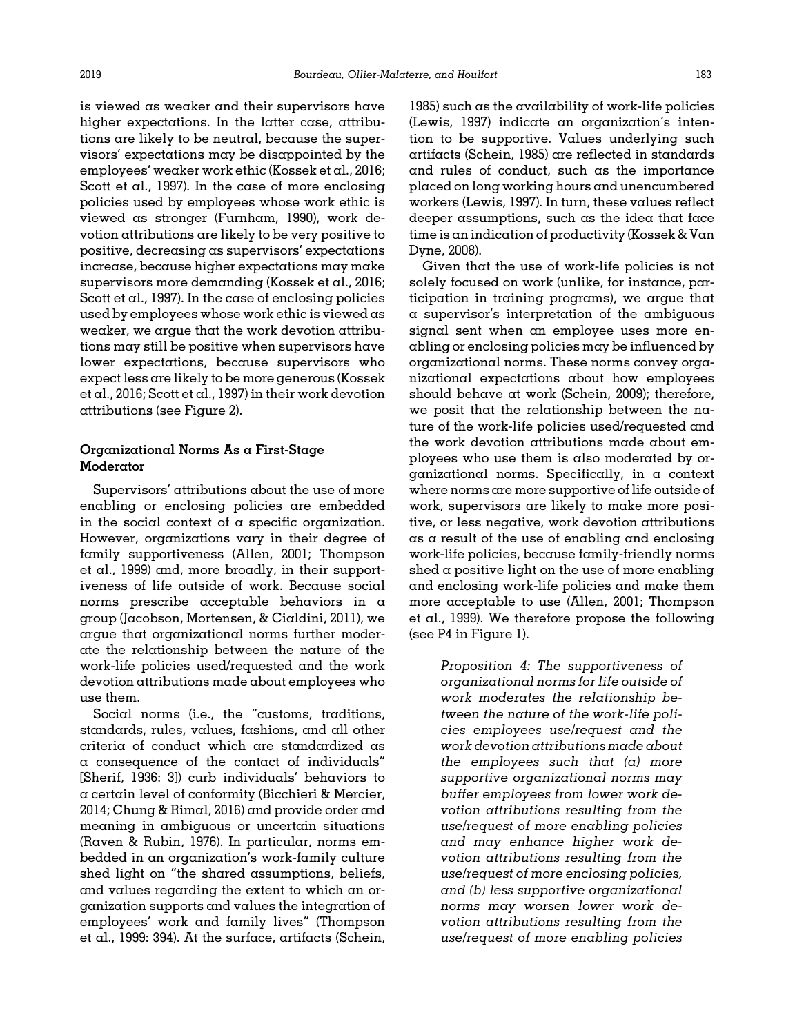is viewed as weaker and their supervisors have higher expectations. In the latter case, attributions are likely to be neutral, because the supervisors' expectations may be disappointed by the employees' weaker work ethic ([Kossek et al., 2016;](#page-19-0) [Scott et al., 1997\)](#page-20-0). In the case of more enclosing policies used by employees whose work ethic is viewed as stronger [\(Furnham, 1990\)](#page-18-0), work devotion attributions are likely to be very positive to positive, decreasing as supervisors' expectations increase, because higher expectations may make supervisors more demanding ([Kossek et al., 2016;](#page-19-0) [Scott et al., 1997\)](#page-20-0). In the case of enclosing policies used by employees whose work ethic is viewed as weaker, we argue that the work devotion attributions may still be positive when supervisors have lower expectations, because supervisors who expect less are likely to be more generous ([Kossek](#page-19-0) [et al., 2016;](#page-19-0) [Scott et al., 1997\)](#page-20-0) in their work devotion attributions (see [Figure 2](#page-10-0)).

# Organizational Norms As a First-Stage Moderator

Supervisors' attributions about the use of more enabling or enclosing policies are embedded in the social context of a specific organization. However, organizations vary in their degree of family supportiveness [\(Allen, 2001](#page-16-0); [Thompson](#page-20-0) [et al., 1999](#page-20-0)) and, more broadly, in their supportiveness of life outside of work. Because social norms prescribe acceptable behaviors in a group [\(Jacobson, Mortensen, & Cialdini, 2011\)](#page-18-0), we argue that organizational norms further moderate the relationship between the nature of the work-life policies used/requested and the work devotion attributions made about employees who use them.

Social norms (i.e., the "customs, traditions, standards, rules, values, fashions, and all other criteria of conduct which are standardized as a consequence of the contact of individuals" [\[Sherif, 1936:](#page-20-0) 3]) curb individuals' behaviors to a certain level of conformity [\(Bicchieri & Mercier,](#page-17-0) [2014; Chung](#page-17-0) & [Rimal, 2016](#page-17-0)) and provide order and meaning in ambiguous or uncertain situations [\(Raven](#page-20-0) [& Rubin, 1976\)](#page-20-0). In particular, norms embedded in an organization's work-family culture shed light on "the shared assumptions, beliefs, and values regarding the extent to which an organization supports and values the integration of employees' work and family lives" [\(Thompson](#page-20-0) [et al., 1999:](#page-20-0) 394). At the surface, artifacts ([Schein,](#page-20-0)

[1985\)](#page-20-0) such as the availability of work-life policies ([Lewis, 1997](#page-19-0)) indicate an organization's intention to be supportive. Values underlying such artifacts [\(Schein, 1985](#page-20-0)) are reflected in standards and rules of conduct, such as the importance placed on long working hours and unencumbered workers [\(Lewis, 1997\)](#page-19-0). In turn, these values reflect deeper assumptions, such as the idea that face time is an indication of productivity ([Kossek & Van](#page-19-0) [Dyne, 2008](#page-19-0)).

Given that the use of work-life policies is not solely focused on work (unlike, for instance, participation in training programs), we argue that a supervisor's interpretation of the ambiguous signal sent when an employee uses more enabling or enclosing policies may be influenced by organizational norms. These norms convey organizational expectations about how employees should behave at work [\(Schein, 2009\)](#page-20-0); therefore, we posit that the relationship between the nature of the work-life policies used/requested and the work devotion attributions made about employees who use them is also moderated by organizational norms. Specifically, in a context where norms are more supportive of life outside of work, supervisors are likely to make more positive, or less negative, work devotion attributions as a result of the use of enabling and enclosing work-life policies, because family-friendly norms shed a positive light on the use of more enabling and enclosing work-life policies and make them more acceptable to use [\(Allen, 2001](#page-16-0); [Thompson](#page-20-0) [et al., 1999](#page-20-0)). We therefore propose the following (see P4 in [Figure 1\)](#page-2-0).

> Proposition 4: The supportiveness of organizational norms for life outside of work moderates the relationship between the nature of the work-life policies employees use/request and the work devotion attributions made about the employees such that  $(a)$  more supportive organizational norms may buffer employees from lower work devotion attributions resulting from the use/request of more enabling policies and may enhance higher work devotion attributions resulting from the use/request of more enclosing policies, and (b) less supportive organizational norms may worsen lower work devotion attributions resulting from the use/request of more enabling policies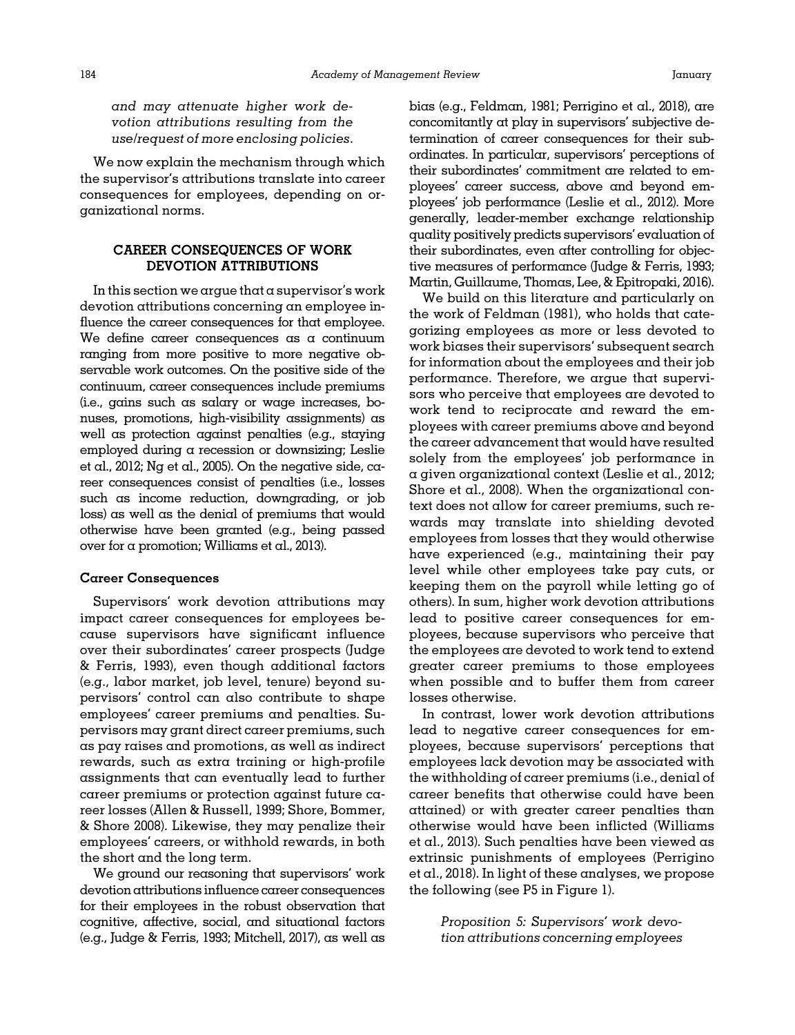and may attenuate higher work devotion attributions resulting from the use/request of more enclosing policies.

We now explain the mechanism through which the supervisor's attributions translate into career consequences for employees, depending on organizational norms.

# CAREER CONSEQUENCES OF WORK DEVOTION ATTRIBUTIONS

In this section we argue that a supervisor's work devotion attributions concerning an employee influence the career consequences for that employee. We define career consequences as  $\alpha$  continuum ranging from more positive to more negative observable work outcomes. On the positive side of the continuum, career consequences include premiums (i.e., gains such as salary or wage increases, bonuses, promotions, high-visibility assignments) as well as protection against penalties (e.g., staying employed during a recession or downsizing; [Leslie](#page-19-0) [et al., 2012; Ng et al., 2005\)](#page-19-0). On the negative side, career consequences consist of penalties (i.e., losses such as income reduction, downgrading, or job loss) as well as the denial of premiums that would otherwise have been granted (e.g., being passed over for a promotion; [Williams et al., 2013\)](#page-20-0).

### Career Consequences

Supervisors' work devotion attributions may impact career consequences for employees because supervisors have significant influence over their subordinates' career prospects [\(Judge](#page-18-0) & [Ferris, 1993\)](#page-18-0), even though additional factors (e.g., labor market, job level, tenure) beyond supervisors' control can also contribute to shape employees' career premiums and penalties. Supervisors may grant direct career premiums, such as pay raises and promotions, as well as indirect rewards, such as extra training or high-profile assignments that can eventually lead to further career premiums or protection against future career losses ([Allen](#page-16-0) [& Russell, 1999;](#page-16-0) [Shore, Bommer,](#page-20-0) & [Shore 2008](#page-20-0)). Likewise, they may penalize their employees' careers, or withhold rewards, in both the short and the long term.

We ground our reasoning that supervisors' work devotion attributions influence career consequences for their employees in the robust observation that cognitive, affective, social, and situational factors (e.g., [Judge & Ferris, 1993](#page-18-0); [Mitchell, 2017\)](#page-19-0), as well as bias (e.g., [Feldman, 1981;](#page-18-0) [Perrigino et al., 2018](#page-19-0)), are concomitantly at play in supervisors' subjective determination of career consequences for their subordinates. In particular, supervisors' perceptions of their subordinates' commitment are related to employees' career success, above and beyond employees' job performance [\(Leslie et al., 2012\)](#page-19-0). More generally, leader-member exchange relationship quality positively predicts supervisors' evaluation of their subordinates, even after controlling for objective measures of performance [\(Judge](#page-18-0) [& Ferris, 1993;](#page-18-0) [Martin, Guillaume, Thomas, Lee, & Epitropaki, 2016](#page-19-0)).

We build on this literature and particularly on the work of [Feldman \(1981\)](#page-18-0), who holds that categorizing employees as more or less devoted to work biases their supervisors' subsequent search for information about the employees and their job performance. Therefore, we argue that supervisors who perceive that employees are devoted to work tend to reciprocate and reward the employees with career premiums above and beyond the career advancement that would have resulted solely from the employees' job performance in a given organizational context [\(Leslie et al., 2012;](#page-19-0) [Shore et al., 2008\)](#page-20-0). When the organizational context does not allow for career premiums, such rewards may translate into shielding devoted employees from losses that they would otherwise have experienced (e.g., maintaining their pay level while other employees take pay cuts, or keeping them on the payroll while letting go of others). In sum, higher work devotion attributions lead to positive career consequences for employees, because supervisors who perceive that the employees are devoted to work tend to extend greater career premiums to those employees when possible and to buffer them from career losses otherwise.

In contrast, lower work devotion attributions lead to negative career consequences for employees, because supervisors' perceptions that employees lack devotion may be associated with the withholding of career premiums (i.e., denial of career benefits that otherwise could have been attained) or with greater career penalties than otherwise would have been inflicted [\(Williams](#page-20-0) [et al., 2013](#page-20-0)). Such penalties have been viewed as extrinsic punishments of employees ([Perrigino](#page-19-0) [et al., 2018](#page-19-0)). In light of these analyses, we propose the following (see P5 in [Figure 1\)](#page-2-0).

> Proposition 5: Supervisors' work devotion attributions concerning employees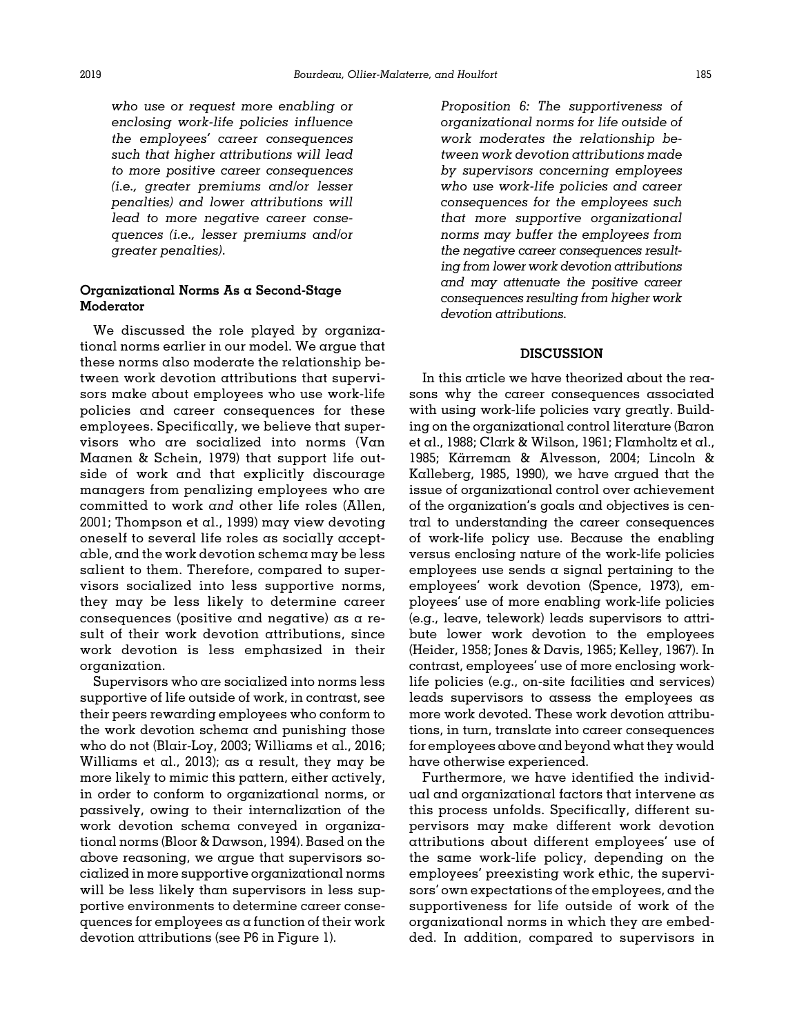who use or request more enabling or enclosing work-life policies influence the employees' career consequences such that higher attributions will lead to more positive career consequences (i.e., greater premiums and/or lesser penalties) and lower attributions will lead to more negative career consequences (i.e., lesser premiums and/or greater penalties).

## Organizational Norms As a Second-Stage Moderator

We discussed the role played by organizational norms earlier in our model. We argue that these norms also moderate the relationship between work devotion attributions that supervisors make about employees who use work-life policies and career consequences for these employees. Specifically, we believe that supervisors who are socialized into norms ([Van](#page-20-0) [Maanen & Schein, 1979](#page-20-0)) that support life outside of work and that explicitly discourage managers from penalizing employees who are committed to work and other life roles [\(Allen,](#page-16-0) [2001;](#page-16-0) [Thompson et al., 1999](#page-20-0)) may view devoting oneself to several life roles as socially acceptable, and the work devotion schema may be less salient to them. Therefore, compared to supervisors socialized into less supportive norms, they may be less likely to determine career consequences (positive and negative) as a result of their work devotion attributions, since work devotion is less emphasized in their organization.

Supervisors who are socialized into norms less supportive of life outside of work, in contrast, see their peers rewarding employees who conform to the work devotion schema and punishing those who do not [\(Blair-Loy, 2003](#page-17-0); [Williams et al., 2016;](#page-20-0) [Williams et al., 2013\)](#page-20-0); as a result, they may be more likely to mimic this pattern, either actively, in order to conform to organizational norms, or passively, owing to their internalization of the work devotion schema conveyed in organizational norms [\(Bloor & Dawson, 1994\)](#page-17-0). Based on the above reasoning, we argue that supervisors socialized in more supportive organizational norms will be less likely than supervisors in less supportive environments to determine career consequences for employees as a function of their work devotion attributions (see P6 in [Figure 1](#page-2-0)).

Proposition 6: The supportiveness of organizational norms for life outside of work moderates the relationship between work devotion attributions made by supervisors concerning employees who use work-life policies and career consequences for the employees such that more supportive organizational norms may buffer the employees from the negative career consequences resulting from lower work devotion attributions and may attenuate the positive career consequences resulting from higher work devotion attributions.

# **DISCUSSION**

In this article we have theorized about the reasons why the career consequences associated with using work-life policies vary greatly. Building on the organizational control literature ([Baron](#page-17-0) [et al., 1988; Clark](#page-17-0) & [Wilson, 1961;](#page-17-0) [Flamholtz et al.,](#page-18-0) 1985; Kärreman [& Alvesson, 2004;](#page-18-0) [Lincoln](#page-19-0) & [Kalleberg, 1985, 1990](#page-19-0)), we have argued that the issue of organizational control over achievement of the organization's goals and objectives is central to understanding the career consequences of work-life policy use. Because the enabling versus enclosing nature of the work-life policies employees use sends a signal pertaining to the employees' work devotion ([Spence, 1973](#page-20-0)), employees' use of more enabling work-life policies (e.g., leave, telework) leads supervisors to attribute lower work devotion to the employees ([Heider, 1958; Jones](#page-18-0) [& Davis, 1965](#page-18-0); [Kelley, 1967](#page-18-0)). In contrast, employees' use of more enclosing worklife policies (e.g., on-site facilities and services) leads supervisors to assess the employees as more work devoted. These work devotion attributions, in turn, translate into career consequences for employees above and beyond what they would have otherwise experienced.

Furthermore, we have identified the individual and organizational factors that intervene as this process unfolds. Specifically, different supervisors may make different work devotion attributions about different employees' use of the same work-life policy, depending on the employees' preexisting work ethic, the supervisors' own expectations of the employees, and the supportiveness for life outside of work of the organizational norms in which they are embedded. In addition, compared to supervisors in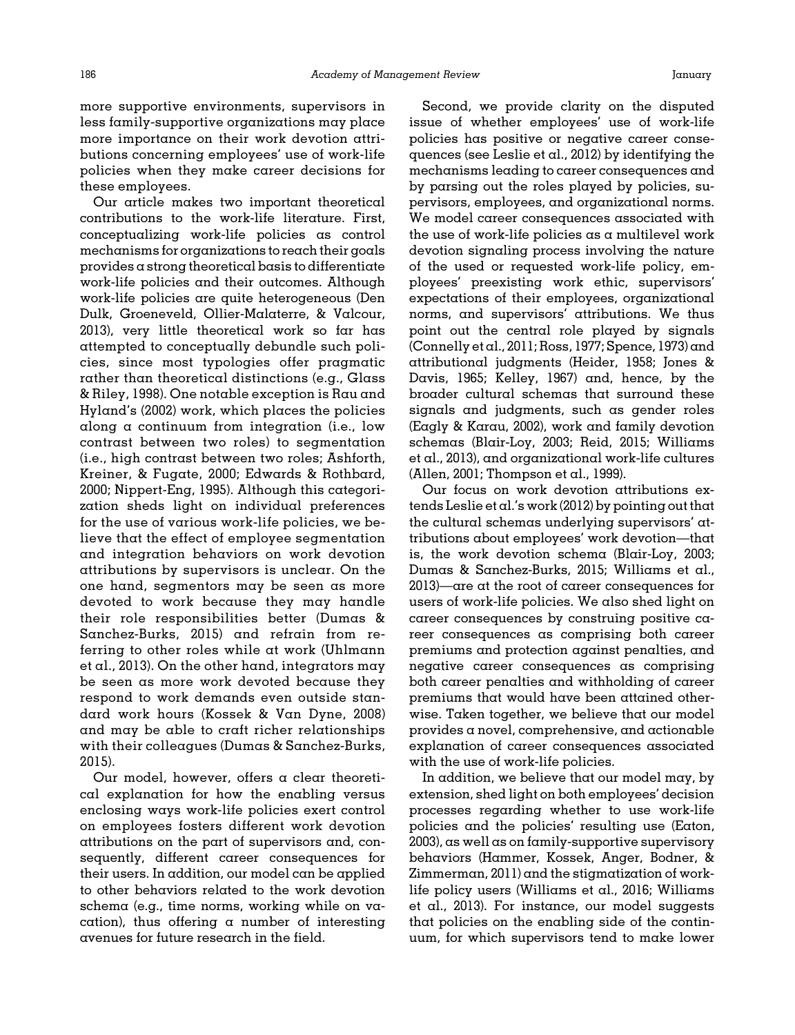more supportive environments, supervisors in less family-supportive organizations may place more importance on their work devotion attributions concerning employees' use of work-life policies when they make career decisions for these employees.

Our article makes two important theoretical contributions to the work-life literature. First, conceptualizing work-life policies as control mechanisms for organizations to reach their goals provides a strong theoretical basis to differentiate work-life policies and their outcomes. Although work-life policies are quite heterogeneous [\(Den](#page-17-0) [Dulk, Groeneveld, Ollier-Malaterre, & Valcour,](#page-17-0) [2013\)](#page-17-0), very little theoretical work so far has attempted to conceptually debundle such policies, since most typologies offer pragmatic rather than theoretical distinctions (e.g., [Glass](#page-18-0) & [Riley, 1998\)](#page-18-0). One notable exception is [Rau and](#page-20-0) [Hyland](#page-20-0)'s (2002) work, which places the policies along a continuum from integration (i.e., low contrast between two roles) to segmentation (i.e., high contrast between two roles; [Ashforth,](#page-17-0) [Kreiner,](#page-17-0) [& Fugate, 2000; Edwards & Rothbard,](#page-17-0) [2000](#page-17-0); [Nippert-Eng, 1995](#page-19-0)). Although this categorization sheds light on individual preferences for the use of various work-life policies, we believe that the effect of employee segmentation and integration behaviors on work devotion attributions by supervisors is unclear. On the one hand, segmentors may be seen as more devoted to work because they may handle their role responsibilities better [\(Dumas &](#page-17-0) [Sanchez-Burks, 2015\)](#page-17-0) and refrain from referring to other roles while at work ([Uhlmann](#page-20-0) [et al., 2013\)](#page-20-0). On the other hand, integrators may be seen as more work devoted because they respond to work demands even outside standard work hours ([Kossek](#page-19-0) & [Van Dyne, 2008](#page-19-0)) and may be able to craft richer relationships with their colleagues ([Dumas](#page-17-0) [& Sanchez-Burks,](#page-17-0) [2015\)](#page-17-0).

Our model, however, offers a clear theoretical explanation for how the enabling versus enclosing ways work-life policies exert control on employees fosters different work devotion attributions on the part of supervisors and, consequently, different career consequences for their users. In addition, our model can be applied to other behaviors related to the work devotion schema (e.g., time norms, working while on vacation), thus offering a number of interesting avenues for future research in the field.

Second, we provide clarity on the disputed issue of whether employees' use of work-life policies has positive or negative career consequences (see [Leslie et al., 2012\)](#page-19-0) by identifying the mechanisms leading to career consequences and by parsing out the roles played by policies, supervisors, employees, and organizational norms. We model career consequences associated with the use of work-life policies  $\alpha s$  a multilevel work devotion signaling process involving the nature of the used or requested work-life policy, employees' preexisting work ethic, supervisors' expectations of their employees, organizational norms, and supervisors' attributions. We thus point out the central role played by signals ([Connelly et al., 2011](#page-17-0); [Ross, 1977; Spence, 1973\)](#page-20-0) and attributional judgments [\(Heider, 1958; Jones](#page-18-0) & [Davis, 1965; Kelley, 1967\)](#page-18-0) and, hence, by the broader cultural schemas that surround these signals and judgments, such as gender roles ([Eagly & Karau, 2002\)](#page-17-0), work and family devotion schemas ([Blair-Loy, 2003;](#page-17-0) [Reid, 2015](#page-20-0); [Williams](#page-20-0) [et al., 2013\)](#page-20-0), and organizational work-life cultures ([Allen, 2001;](#page-16-0) [Thompson et al., 1999](#page-20-0)).

Our focus on work devotion attributions extends Leslie et al.'s work (2012) by pointing out that the cultural schemas underlying supervisors' attributions about employees' work devotion—that is, the work devotion schema ([Blair-Loy, 2003;](#page-17-0) [Dumas & Sanchez-Burks, 2015;](#page-17-0) [Williams et al.,](#page-20-0) [2013\)](#page-20-0)—are at the root of career consequences for users of work-life policies. We also shed light on career consequences by construing positive career consequences as comprising both career premiums and protection against penalties, and negative career consequences as comprising both career penalties and withholding of career premiums that would have been attained otherwise. Taken together, we believe that our model provides a novel, comprehensive, and actionable explanation of career consequences associated with the use of work-life policies.

In addition, we believe that our model may, by extension, shed light on both employees' decision processes regarding whether to use work-life policies and the policies' resulting use ([Eaton,](#page-17-0) [2003\)](#page-17-0), as well as on family-supportive supervisory behaviors ([Hammer, Kossek, Anger, Bodner,](#page-18-0) & [Zimmerman, 2011\)](#page-18-0) and the stigmatization of worklife policy users ([Williams et al., 2016](#page-20-0); [Williams](#page-20-0) [et al., 2013](#page-20-0)). For instance, our model suggests that policies on the enabling side of the continuum, for which supervisors tend to make lower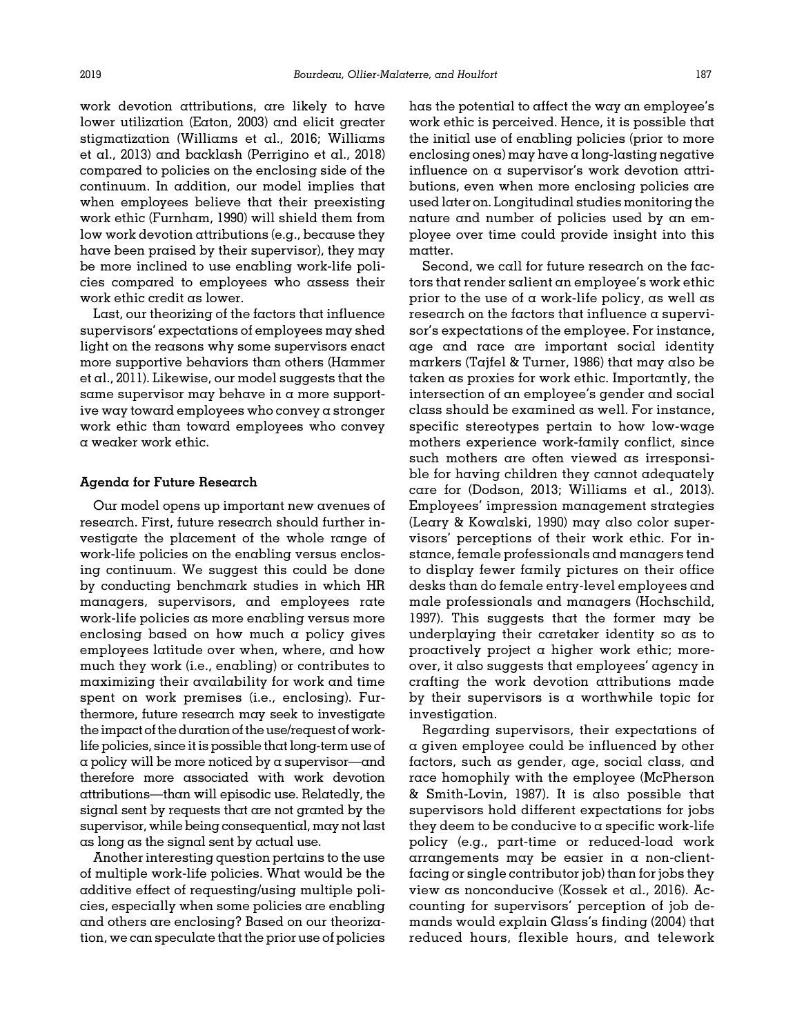work devotion attributions, are likely to have lower utilization [\(Eaton, 2003\)](#page-17-0) and elicit greater stigmatization [\(Williams et al., 2016](#page-20-0); [Williams](#page-20-0) [et al., 2013](#page-20-0)) and backlash ([Perrigino et al., 2018](#page-19-0)) compared to policies on the enclosing side of the continuum. In addition, our model implies that when employees believe that their preexisting work ethic [\(Furnham, 1990](#page-18-0)) will shield them from low work devotion attributions (e.g., because they have been praised by their supervisor), they may be more inclined to use enabling work-life policies compared to employees who assess their work ethic credit as lower.

Last, our theorizing of the factors that influence supervisors' expectations of employees may shed light on the reasons why some supervisors enact more supportive behaviors than others ([Hammer](#page-18-0) [et al., 2011\)](#page-18-0). Likewise, our model suggests that the same supervisor may behave in a more supportive way toward employees who convey a stronger work ethic than toward employees who convey a weaker work ethic.

#### Agenda for Future Research

Our model opens up important new avenues of research. First, future research should further investigate the placement of the whole range of work-life policies on the enabling versus enclosing continuum. We suggest this could be done by conducting benchmark studies in which HR managers, supervisors, and employees rate work-life policies as more enabling versus more enclosing based on how much a policy gives employees latitude over when, where, and how much they work (i.e., enabling) or contributes to maximizing their availability for work and time spent on work premises (i.e., enclosing). Furthermore, future research may seek to investigate the impact of the duration of the use/request of worklife policies, since it is possible that long-term use of  $\alpha$  policy will be more noticed by  $\alpha$  supervisor—and therefore more associated with work devotion attributions—than will episodic use. Relatedly, the signal sent by requests that are not granted by the supervisor, while being consequential, may not last as long as the signal sent by actual use.

Another interesting question pertains to the use of multiple work-life policies. What would be the additive effect of requesting/using multiple policies, especially when some policies are enabling and others are enclosing? Based on our theorization, we can speculate that the prior use of policies

has the potential to affect the way an employee's work ethic is perceived. Hence, it is possible that the initial use of enabling policies (prior to more enclosing ones) may have a long-lasting negative influence on a supervisor's work devotion attributions, even when more enclosing policies are used later on. Longitudinal studies monitoring the nature and number of policies used by an employee over time could provide insight into this matter.

Second, we call for future research on the factors that render salient an employee's work ethic prior to the use of  $\alpha$  work-life policy, as well as research on the factors that influence a supervisor's expectations of the employee. For instance, age and race are important social identity markers ([Tajfel](#page-20-0) [& Turner, 1986\)](#page-20-0) that may also be taken as proxies for work ethic. Importantly, the intersection of an employee's gender and social class should be examined as well. For instance, specific stereotypes pertain to how low-wage mothers experience work-family conflict, since such mothers are often viewed as irresponsible for having children they cannot adequately care for ([Dodson, 2013](#page-17-0); [Williams et al., 2013\)](#page-20-0). Employees' impression management strategies ([Leary](#page-19-0) & [Kowalski, 1990\)](#page-19-0) may also color supervisors' perceptions of their work ethic. For instance, female professionals and managers tend to display fewer family pictures on their office desks than do female entry-level employees and male professionals and managers [\(Hochschild,](#page-18-0) [1997](#page-18-0)). This suggests that the former may be underplaying their caretaker identity so as to proactively project a higher work ethic; moreover, it also suggests that employees' agency in crafting the work devotion attributions made by their supervisors is a worthwhile topic for investigation.

Regarding supervisors, their expectations of a given employee could be influenced by other factors, such as gender, age, social class, and race homophily with the employee [\(McPherson](#page-19-0) [& Smith-Lovin, 1987](#page-19-0)). It is also possible that supervisors hold different expectations for jobs they deem to be conducive to  $\alpha$  specific work-life policy (e.g., part-time or reduced-load work arrangements may be easier in a non-clientfacing or single contributor job) than for jobs they view as nonconducive ([Kossek et al., 2016](#page-19-0)). Accounting for supervisors' perception of job demands would explain Glass's finding (2004) that reduced hours, flexible hours, and telework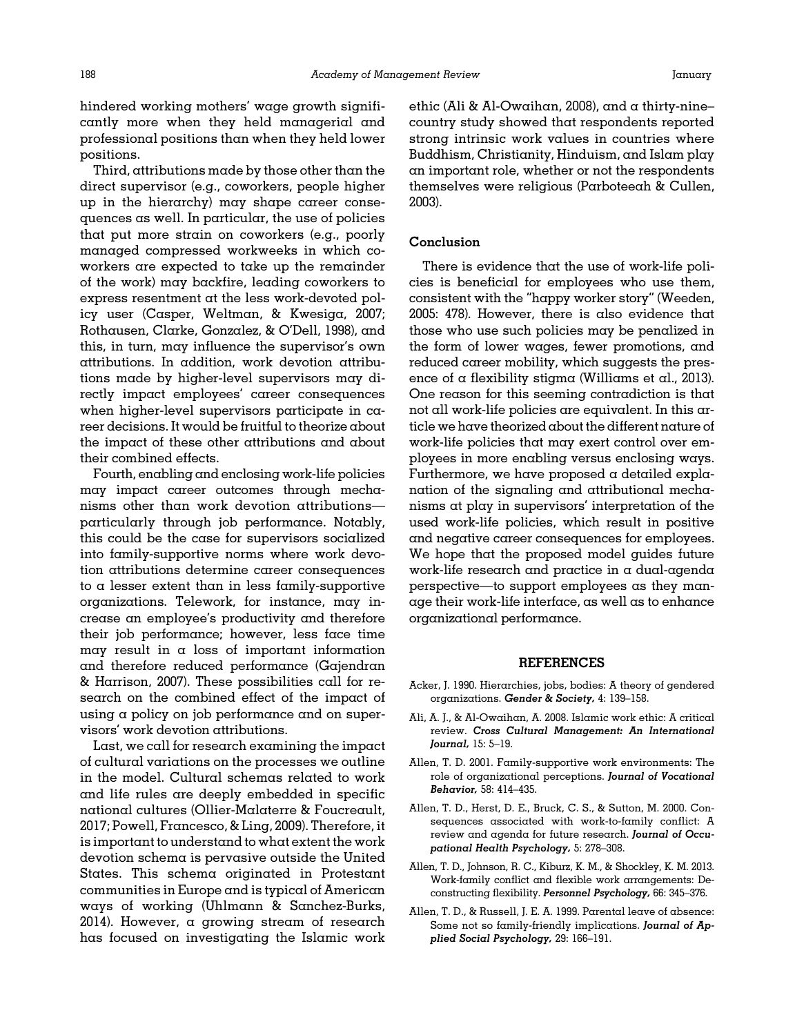<span id="page-16-0"></span>hindered working mothers' wage growth significantly more when they held managerial and professional positions than when they held lower positions.

Third, attributions made by those other than the direct supervisor (e.g., coworkers, people higher up in the hierarchy) may shape career consequences as well. In particular, the use of policies that put more strain on coworkers (e.g., poorly managed compressed workweeks in which coworkers are expected to take up the remainder of the work) may backfire, leading coworkers to express resentment at the less work-devoted policy user [\(Casper, Weltman,](#page-17-0) [& Kwesiga, 2007;](#page-17-0) [Rothausen, Clarke, Gonzalez,](#page-20-0) & O'[Dell, 1998](#page-20-0)), and this, in turn, may influence the supervisor's own attributions. In addition, work devotion attributions made by higher-level supervisors may directly impact employees' career consequences when higher-level supervisors participate in career decisions. It would be fruitful to theorize about the impact of these other attributions and about their combined effects.

Fourth, enabling and enclosing work-life policies may impact career outcomes through mechanisms other than work devotion attributions particularly through job performance. Notably, this could be the case for supervisors socialized into family-supportive norms where work devotion attributions determine career consequences to a lesser extent than in less family-supportive organizations. Telework, for instance, may increase an employee's productivity and therefore their job performance; however, less face time may result in  $\alpha$  loss of important information and therefore reduced performance [\(Gajendran](#page-18-0) & [Harrison, 2007](#page-18-0)). These possibilities call for research on the combined effect of the impact of using  $\alpha$  policy on job performance and on supervisors' work devotion attributions.

Last, we call for research examining the impact of cultural variations on the processes we outline in the model. Cultural schemas related to work and life rules are deeply embedded in specific national cultures ([Ollier-Malaterre & Foucreault,](#page-19-0) [2017;](#page-19-0) [Powell, Francesco, & Ling, 2009\)](#page-20-0). Therefore, it is important to understand to what extent the work devotion schema is pervasive outside the United States. This schema originated in Protestant communities in Europe and is typical of American ways of working ([Uhlmann](#page-20-0) & [Sanchez-Burks,](#page-20-0) [2014\)](#page-20-0). However, a growing stream of research has focused on investigating the Islamic work

ethic (Ali & Al-Owaihan, 2008), and a thirty-nine– country study showed that respondents reported strong intrinsic work values in countries where Buddhism, Christianity, Hinduism, and Islam play an important role, whether or not the respondents themselves were religious [\(Parboteeah](#page-19-0) [& Cullen,](#page-19-0) [2003\)](#page-19-0).

## Conclusion

There is evidence that the use of work-life policies is beneficial for employees who use them, consistent with the "happy worker story" [\(Weeden,](#page-20-0) [2005](#page-20-0): 478). However, there is also evidence that those who use such policies may be penalized in the form of lower wages, fewer promotions, and reduced career mobility, which suggests the presence of  $\alpha$  flexibility stigma [\(Williams et al., 2013](#page-20-0)). One reason for this seeming contradiction is that not all work-life policies are equivalent. In this article we have theorized about the different nature of work-life policies that may exert control over employees in more enabling versus enclosing ways. Furthermore, we have proposed a detailed explanation of the signaling and attributional mechanisms at play in supervisors' interpretation of the used work-life policies, which result in positive and negative career consequences for employees. We hope that the proposed model guides future work-life research and practice in a dual-agenda perspective—to support employees as they manage their work-life interface, as well as to enhance organizational performance.

#### REFERENCES

- Acker, J. 1990. Hierarchies, jobs, bodies: A theory of gendered organizations. Gender & Society, 4: 139–158.
- Ali, A. J., & Al-Owaihan, A. 2008. Islamic work ethic: A critical review. Cross Cultural Management: An International Journal, 15: 5–19.
- Allen, T. D. 2001. Family-supportive work environments: The role of organizational perceptions. Journal of Vocational Behavior, 58: 414–435.
- Allen, T. D., Herst, D. E., Bruck, C. S., & Sutton, M. 2000. Consequences associated with work-to-family conflict: A review and agenda for future research. Journal of Occupational Health Psychology, 5: 278–308.
- Allen, T. D., Johnson, R. C., Kiburz, K. M., & Shockley, K. M. 2013. Work-family conflict and flexible work arrangements: Deconstructing flexibility. Personnel Psychology, 66: 345–376.
- Allen, T. D., & Russell, J. E. A. 1999. Parental leave of absence: Some not so family-friendly implications. Journal of Applied Social Psychology, 29: 166–191.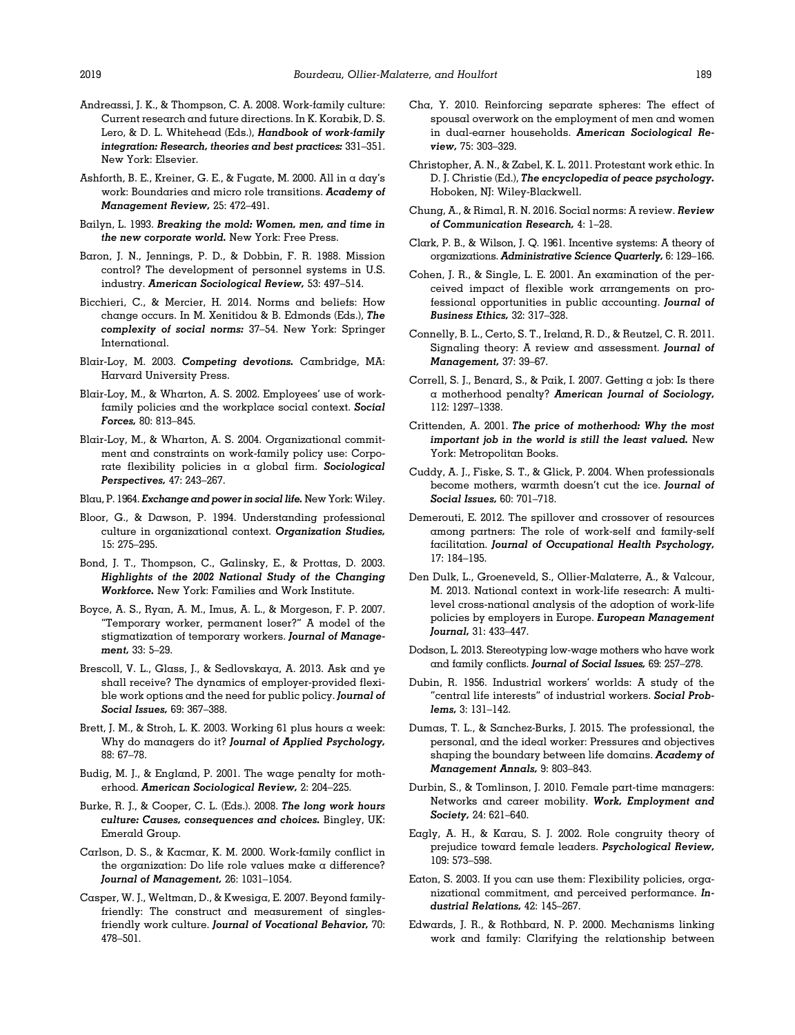- <span id="page-17-0"></span>Andreassi, J. K., & Thompson, C. A. 2008. Work-family culture: Current research and future directions. In K. Korabik, D. S. Lero, & D. L. Whitehead (Eds.), Handbook of work-family integration: Research, theories and best practices: 331–351. New York: Elsevier.
- Ashforth, B. E., Kreiner, G. E., & Fugate, M. 2000. All in a day's work: Boundaries and micro role transitions. Academy of Management Review, 25: 472–491.
- Bailyn, L. 1993. Breaking the mold: Women, men, and time in the new corporate world. New York: Free Press.
- Baron, J. N., Jennings, P. D., & Dobbin, F. R. 1988. Mission control? The development of personnel systems in U.S. industry. American Sociological Review, 53: 497–514.
- Bicchieri, C., & Mercier, H. 2014. Norms and beliefs: How change occurs. In M. Xenitidou & B. Edmonds (Eds.), The complexity of social norms: 37–54. New York: Springer International.
- Blair-Loy, M. 2003. Competing devotions. Cambridge, MA: Harvard University Press.
- Blair-Loy, M., & Wharton, A. S. 2002. Employees' use of workfamily policies and the workplace social context. Social Forces, 80: 813–845.
- Blair-Loy, M., & Wharton, A. S. 2004. Organizational commitment and constraints on work-family policy use: Corporate flexibility policies in a global firm. Sociological Perspectives, 47: 243–267.
- Blau, P. 1964. Exchange and power in social life. New York: Wiley.
- Bloor, G., & Dawson, P. 1994. Understanding professional culture in organizational context. Organization Studies, 15: 275–295.
- Bond, J. T., Thompson, C., Galinsky, E., & Prottas, D. 2003. Highlights of the 2002 National Study of the Changing Workforce. New York: Families and Work Institute.
- Boyce, A. S., Ryan, A. M., Imus, A. L., & Morgeson, F. P. 2007. "Temporary worker, permanent loser?" A model of the stigmatization of temporary workers. Journal of Management, 33: 5–29.
- Brescoll, V. L., Glass, J., & Sedlovskaya, A. 2013. Ask and ye shall receive? The dynamics of employer-provided flexible work options and the need for public policy. Journal of Social Issues, 69: 367–388.
- Brett, J. M., & Stroh, L. K. 2003. Working 61 plus hours  $\alpha$  week: Why do managers do it? Journal of Applied Psychology, 88: 67–78.
- Budig, M. J., & England, P. 2001. The wage penalty for motherhood. American Sociological Review, 2: 204–225.
- Burke, R. J., & Cooper, C. L. (Eds.). 2008. The long work hours culture: Causes, consequences and choices. Bingley, UK: Emerald Group.
- Carlson, D. S., & Kacmar, K. M. 2000. Work-family conflict in the organization: Do life role values make a difference? Journal of Management, 26: 1031-1054.
- Casper, W. J., Weltman, D., & Kwesiga, E. 2007. Beyond familyfriendly: The construct and measurement of singlesfriendly work culture. Journal of Vocational Behavior, 70: 478–501.
- Cha, Y. 2010. Reinforcing separate spheres: The effect of spousal overwork on the employment of men and women in dual-earner households. American Sociological Review, 75: 303–329.
- Christopher, A. N., & Zabel, K. L. 2011. Protestant work ethic. In D. J. Christie (Ed.), The encyclopedia of peace psychology. Hoboken, NJ: Wiley-Blackwell.
- Chung, A., & Rimal, R. N. 2016. Social norms: A review. Review of Communication Research, 4: 1–28.
- Clark, P. B., & Wilson, J. Q. 1961. Incentive systems: A theory of organizations. Administrative Science Quarterly, 6: 129–166.
- Cohen, J. R., & Single, L. E. 2001. An examination of the perceived impact of flexible work arrangements on professional opportunities in public accounting. Journal of Business Ethics, 32: 317–328.
- Connelly, B. L., Certo, S. T., Ireland, R. D., & Reutzel, C. R. 2011. Signaling theory: A review and assessment. Journal of Management, 37: 39–67.
- Correll, S. J., Benard, S., & Paik, I. 2007. Getting  $\alpha$  job: Is there a motherhood penalty? American Journal of Sociology, 112: 1297–1338.
- Crittenden, A. 2001. The price of motherhood: Why the most important job in the world is still the least valued. New York: Metropolitan Books.
- Cuddy, A. J., Fiske, S. T., & Glick, P. 2004. When professionals become mothers, warmth doesn't cut the ice. Journal of Social Issues, 60: 701–718.
- Demerouti, E. 2012. The spillover and crossover of resources among partners: The role of work-self and family-self facilitation. Journal of Occupational Health Psychology, 17: 184–195.
- Den Dulk, L., Groeneveld, S., Ollier-Malaterre, A., & Valcour, M. 2013. National context in work-life research: A multilevel cross-national analysis of the adoption of work-life policies by employers in Europe. European Management Journal, 31: 433–447.
- Dodson, L. 2013. Stereotyping low-wage mothers who have work and family conflicts. Journal of Social Issues, 69: 257–278.
- Dubin, R. 1956. Industrial workers' worlds: A study of the "central life interests" of industrial workers. Social Problems, 3: 131–142.
- Dumas, T. L., & Sanchez-Burks, J. 2015. The professional, the personal, and the ideal worker: Pressures and objectives shaping the boundary between life domains. Academy of Management Annals, 9: 803–843.
- Durbin, S., & Tomlinson, J. 2010. Female part-time managers: Networks and career mobility. Work, Employment and Society, 24: 621–640.
- Eagly, A. H., & Karau, S. J. 2002. Role congruity theory of prejudice toward female leaders. Psychological Review, 109: 573–598.
- Eaton, S. 2003. If you can use them: Flexibility policies, organizational commitment, and perceived performance. Industrial Relations, 42: 145–267.
- Edwards, J. R., & Rothbard, N. P. 2000. Mechanisms linking work and family: Clarifying the relationship between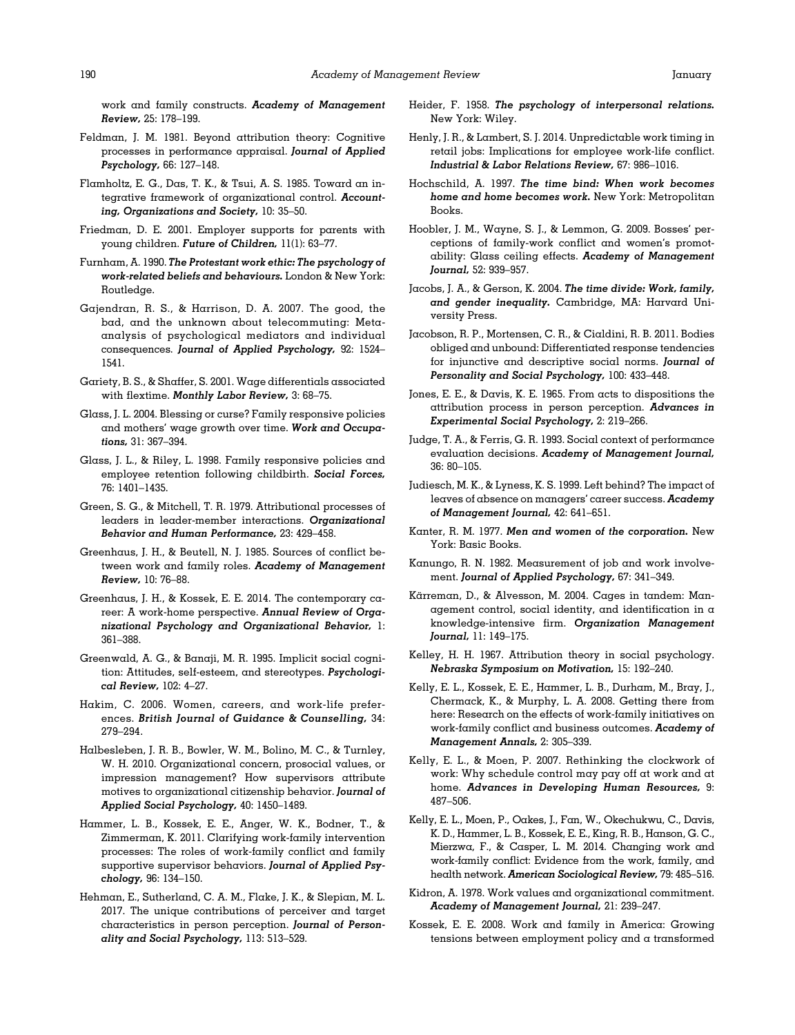<span id="page-18-0"></span>work and family constructs. Academy of Management Review, 25: 178–199.

- Feldman, J. M. 1981. Beyond attribution theory: Cognitive processes in performance appraisal. Journal of Applied Psychology, 66: 127–148.
- Flamholtz, E. G., Das, T. K., & Tsui, A. S. 1985. Toward an integrative framework of organizational control. Accounting, Organizations and Society, 10: 35–50.
- Friedman, D. E. 2001. Employer supports for parents with young children. Future of Children, 11(1): 63–77.
- Furnham, A. 1990. The Protestant work ethic: The psychology of work-related beliefs and behaviours. London & New York: Routledge.
- Gajendran, R. S., & Harrison, D. A. 2007. The good, the bad, and the unknown about telecommuting: Metaanalysis of psychological mediators and individual consequences. Journal of Applied Psychology, 92: 1524– 1541.
- Gariety, B. S., & Shaffer, S. 2001. Wage differentials associated with flextime. Monthly Labor Review, 3: 68–75.
- Glass, J. L. 2004. Blessing or curse? Family responsive policies and mothers' wage growth over time. Work and Occupations, 31: 367–394.
- Glass, J. L., & Riley, L. 1998. Family responsive policies and employee retention following childbirth. Social Forces, 76: 1401–1435.
- Green, S. G., & Mitchell, T. R. 1979. Attributional processes of leaders in leader-member interactions. Organizational Behavior and Human Performance, 23: 429–458.
- Greenhaus, J. H., & Beutell, N. J. 1985. Sources of conflict between work and family roles. Academy of Management Review, 10: 76–88.
- Greenhaus, J. H., & Kossek, E. E. 2014. The contemporary career: A work-home perspective. Annual Review of Organizational Psychology and Organizational Behavior, 1: 361–388.
- Greenwald, A. G., & Banaji, M. R. 1995. Implicit social cognition: Attitudes, self-esteem, and stereotypes. Psychological Review, 102: 4–27.
- Hakim, C. 2006. Women, careers, and work-life preferences. British Journal of Guidance & Counselling, 34: 279–294.
- Halbesleben, J. R. B., Bowler, W. M., Bolino, M. C., & Turnley, W. H. 2010. Organizational concern, prosocial values, or impression management? How supervisors attribute motives to organizational citizenship behavior. Journal of Applied Social Psychology, 40: 1450–1489.
- Hammer, L. B., Kossek, E. E., Anger, W. K., Bodner, T., & Zimmerman, K. 2011. Clarifying work-family intervention processes: The roles of work-family conflict and family supportive supervisor behaviors. Journal of Applied Psychology, 96: 134–150.
- Hehman, E., Sutherland, C. A. M., Flake, J. K., & Slepian, M. L. 2017. The unique contributions of perceiver and target characteristics in person perception. Journal of Personality and Social Psychology, 113: 513–529.
- Heider, F. 1958. The psychology of interpersonal relations. New York: Wiley.
- Henly, J. R., & Lambert, S. J. 2014. Unpredictable work timing in retail jobs: Implications for employee work-life conflict. Industrial & Labor Relations Review, 67: 986–1016.
- Hochschild, A. 1997. The time bind: When work becomes home and home becomes work. New York: Metropolitan Books.
- Hoobler, J. M., Wayne, S. J., & Lemmon, G. 2009. Bosses' perceptions of family-work conflict and women's promotability: Glass ceiling effects. Academy of Management Journal, 52: 939–957.
- Jacobs, J. A., & Gerson, K. 2004. The time divide: Work, family, and gender inequality. Cambridge, MA: Harvard University Press.
- Jacobson, R. P., Mortensen, C. R., & Cialdini, R. B. 2011. Bodies obliged and unbound: Differentiated response tendencies for injunctive and descriptive social norms. Journal of Personality and Social Psychology, 100: 433–448.
- Jones, E. E., & Davis, K. E. 1965. From acts to dispositions the attribution process in person perception. Advances in Experimental Social Psychology, 2: 219–266.
- Judge, T. A., & Ferris, G. R. 1993. Social context of performance evaluation decisions. Academy of Management Journal, 36: 80–105.
- Judiesch, M. K., & Lyness, K. S. 1999. Left behind? The impact of leaves of absence on managers' career success. Academy of Management Journal, 42: 641–651.
- Kanter, R. M. 1977. Men and women of the corporation. New York: Basic Books.
- Kanungo, R. N. 1982. Measurement of job and work involvement. Journal of Applied Psychology, 67: 341–349.
- Kärreman, D., & Alvesson, M. 2004. Cages in tandem: Management control, social identity, and identification in a knowledge-intensive firm. Organization Management Journal, 11: 149–175.
- Kelley, H. H. 1967. Attribution theory in social psychology. Nebraska Symposium on Motivation, 15: 192–240.
- Kelly, E. L., Kossek, E. E., Hammer, L. B., Durham, M., Bray, J., Chermack, K., & Murphy, L. A. 2008. Getting there from here: Research on the effects of work-family initiatives on work-family conflict and business outcomes. Academy of Management Annals, 2: 305–339.
- Kelly, E. L., & Moen, P. 2007. Rethinking the clockwork of work: Why schedule control may pay off at work and at home. Advances in Developing Human Resources, 9: 487–506.
- Kelly, E. L., Moen, P., Oakes, J., Fan, W., Okechukwu, C., Davis, K. D., Hammer, L. B., Kossek, E. E., King, R. B., Hanson, G. C., Mierzwa, F., & Casper, L. M. 2014. Changing work and work-family conflict: Evidence from the work, family, and health network. American Sociological Review, 79: 485–516.
- Kidron, A. 1978. Work values and organizational commitment. Academy of Management Journal, 21: 239–247.
- Kossek, E. E. 2008. Work and family in America: Growing tensions between employment policy and a transformed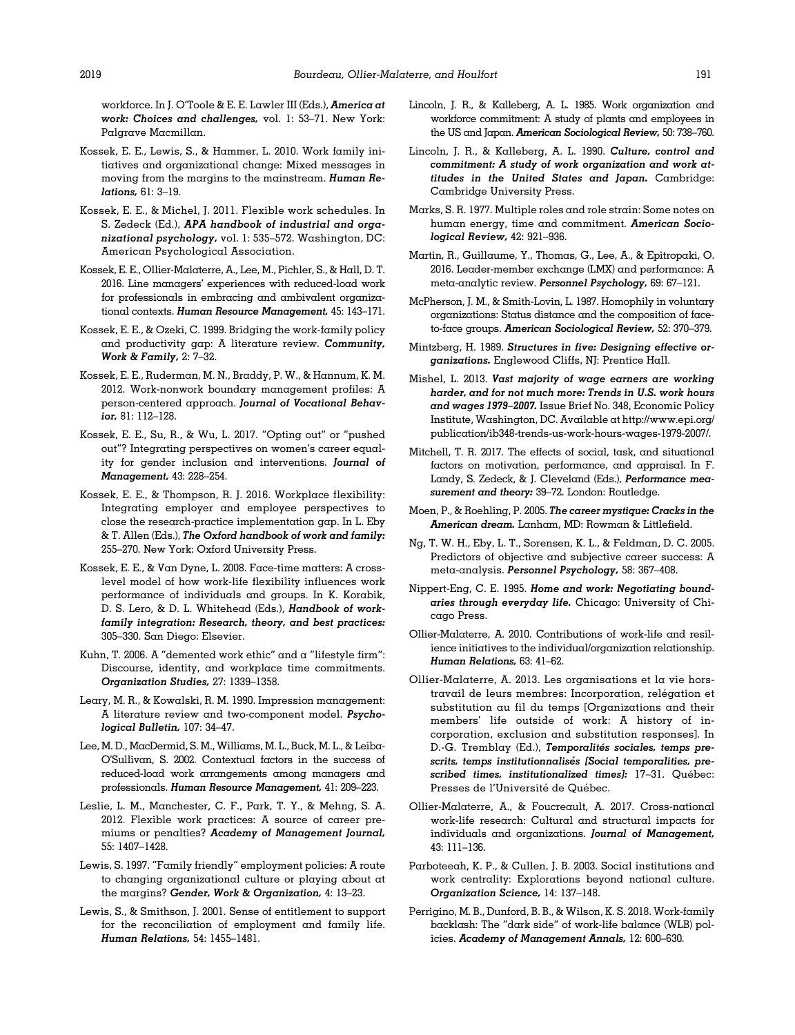<span id="page-19-0"></span>workforce. In J. O'Toole & E. E. Lawler III (Eds.), America at work: Choices and challenges, vol. 1: 53–71. New York: Palgrave Macmillan.

- Kossek, E. E., Lewis, S., & Hammer, L. 2010. Work family initiatives and organizational change: Mixed messages in moving from the margins to the mainstream. Human Relations, 61: 3–19.
- Kossek, E. E., & Michel, J. 2011. Flexible work schedules. In S. Zedeck (Ed.), APA handbook of industrial and organizational psychology, vol. 1: 535–572. Washington, DC: American Psychological Association.
- Kossek, E. E., Ollier-Malaterre, A., Lee, M., Pichler, S., & Hall, D. T. 2016. Line managers' experiences with reduced-load work for professionals in embracing and ambivalent organizational contexts. Human Resource Management, 45: 143-171.
- Kossek, E. E., & Ozeki, C. 1999. Bridging the work-family policy and productivity gap: A literature review. Community, Work & Family, 2: 7–32.
- Kossek, E. E., Ruderman, M. N., Braddy, P. W., & Hannum, K. M. 2012. Work-nonwork boundary management profiles: A person-centered approach. Journal of Vocational Behavior, 81: 112–128.
- Kossek, E. E., Su, R., & Wu, L. 2017. "Opting out" or "pushed out"? Integrating perspectives on women's career equality for gender inclusion and interventions. Journal of Management, 43: 228–254.
- Kossek, E. E., & Thompson, R. J. 2016. Workplace flexibility: Integrating employer and employee perspectives to close the research-practice implementation gap. In L. Eby & T. Allen (Eds.), The Oxford handbook of work and family: 255–270. New York: Oxford University Press.
- Kossek, E. E., & Van Dyne, L. 2008. Face-time matters: A crosslevel model of how work-life flexibility influences work performance of individuals and groups. In K. Korabik, D. S. Lero, & D. L. Whitehead (Eds.), Handbook of workfamily integration: Research, theory, and best practices: 305–330. San Diego: Elsevier.
- Kuhn, T. 2006. A "demented work ethic" and a "lifestyle firm": Discourse, identity, and workplace time commitments. Organization Studies, 27: 1339–1358.
- Leary, M. R., & Kowalski, R. M. 1990. Impression management: A literature review and two-component model. Psychological Bulletin, 107: 34–47.
- Lee, M. D., MacDermid, S. M., Williams, M. L., Buck, M. L., & Leiba-O'Sullivan, S. 2002. Contextual factors in the success of reduced-load work arrangements among managers and professionals. Human Resource Management, 41: 209–223.
- Leslie, L. M., Manchester, C. F., Park, T. Y., & Mehng, S. A. 2012. Flexible work practices: A source of career premiums or penalties? Academy of Management Journal, 55: 1407–1428.
- Lewis, S. 1997. "Family friendly" employment policies: A route to changing organizational culture or playing about at the margins? Gender, Work & Organization, 4: 13–23.
- Lewis, S., & Smithson, J. 2001. Sense of entitlement to support for the reconciliation of employment and family life. Human Relations, 54: 1455–1481.
- Lincoln, J. R., & Kalleberg, A. L. 1985. Work organization and workforce commitment: A study of plants and employees in the US and Japan. American Sociological Review, 50: 738–760.
- Lincoln, J. R., & Kalleberg, A. L. 1990. Culture, control and commitment: A study of work organization and work attitudes in the United States and Japan. Cambridge: Cambridge University Press.
- Marks, S. R. 1977. Multiple roles and role strain: Some notes on human energy, time and commitment. American Sociological Review, 42: 921–936.
- Martin, R., Guillaume, Y., Thomas, G., Lee, A., & Epitropaki, O. 2016. Leader-member exchange (LMX) and performance: A meta-analytic review. Personnel Psychology, 69: 67–121.
- McPherson, J. M., & Smith-Lovin, L. 1987. Homophily in voluntary organizations: Status distance and the composition of faceto-face groups. American Sociological Review, 52: 370–379.
- Mintzberg, H. 1989. Structures in five: Designing effective organizations. Englewood Cliffs, NJ: Prentice Hall.
- Mishel, L. 2013. Vast majority of wage earners are working harder, and for not much more: Trends in U.S. work hours and wages 1979–2007. Issue Brief No. 348, Economic Policy Institute, Washington, DC. Available at [http://www.epi.org/](http://www.epi.org/publication/ib348-trends-us-work-hours-wages-1979-2007/) [publication/ib348-trends-us-work-hours-wages-1979-2007/.](http://www.epi.org/publication/ib348-trends-us-work-hours-wages-1979-2007/)
- Mitchell, T. R. 2017. The effects of social, task, and situational factors on motivation, performance, and appraisal. In F. Landy, S. Zedeck, & J. Cleveland (Eds.), Performance measurement and theory: 39–72. London: Routledge.
- Moen, P., & Roehling, P. 2005. The career mystique: Cracks in the American dream. Lanham, MD: Rowman & Littlefield.
- Ng, T. W. H., Eby, L. T., Sorensen, K. L., & Feldman, D. C. 2005. Predictors of objective and subjective career success: A meta-analysis. Personnel Psychology, 58: 367–408.
- Nippert-Eng, C. E. 1995. Home and work: Negotiating boundaries through everyday life. Chicago: University of Chicago Press.
- Ollier-Malaterre, A. 2010. Contributions of work-life and resilience initiatives to the individual/organization relationship. Human Relations, 63: 41–62.
- Ollier-Malaterre, A. 2013. Les organisations et la vie horstravail de leurs membres: Incorporation, relegation et ´ substitution au fil du temps [Organizations and their members' life outside of work: A history of incorporation, exclusion and substitution responses]. In D.-G. Tremblay (Ed.), Temporalités sociales, temps prescrits, temps institutionnalisés [Social temporalities, prescribed times, institutionalized times]: 17-31. Québec: Presses de l'Université de Québec.
- Ollier-Malaterre, A., & Foucreault, A. 2017. Cross-national work-life research: Cultural and structural impacts for individuals and organizations. Journal of Management,  $43 \cdot 111 - 136$
- Parboteeah, K. P., & Cullen, J. B. 2003. Social institutions and work centrality: Explorations beyond national culture. Organization Science, 14: 137–148.
- Perrigino, M. B., Dunford, B. B., & Wilson, K. S. 2018. Work-family backlash: The "dark side" of work-life balance (WLB) policies. Academy of Management Annals, 12: 600–630.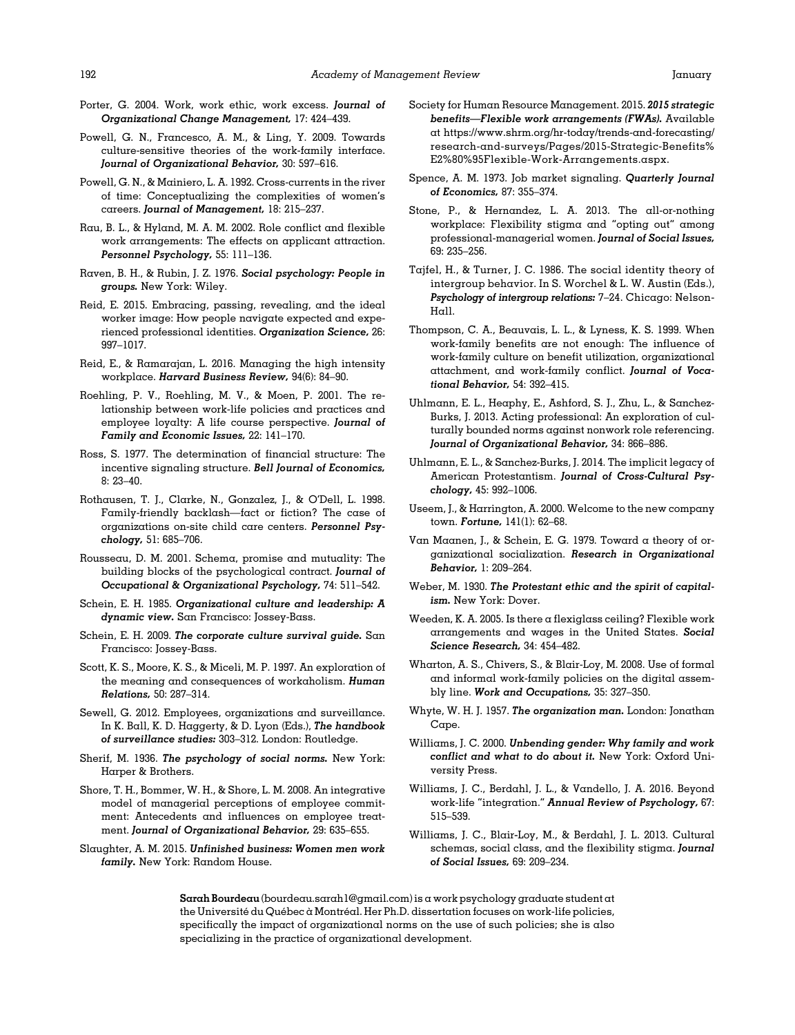- <span id="page-20-0"></span>Porter, G. 2004. Work, work ethic, work excess. Journal of Organizational Change Management, 17: 424–439.
- Powell, G. N., Francesco, A. M., & Ling, Y. 2009. Towards culture-sensitive theories of the work-family interface. Journal of Organizational Behavior, 30: 597–616.
- Powell, G. N., & Mainiero, L. A. 1992. Cross-currents in the river of time: Conceptualizing the complexities of women's careers. Journal of Management, 18: 215–237.
- Rau, B. L., & Hyland, M. A. M. 2002. Role conflict and flexible work arrangements: The effects on applicant attraction. Personnel Psychology, 55: 111–136.
- Raven, B. H., & Rubin, J. Z. 1976. Social psychology: People in groups. New York: Wiley.
- Reid, E. 2015. Embracing, passing, revealing, and the ideal worker image: How people navigate expected and experienced professional identities. Organization Science, 26: 997–1017.
- Reid, E., & Ramarajan, L. 2016. Managing the high intensity workplace. Harvard Business Review, 94(6): 84–90.
- Roehling, P. V., Roehling, M. V., & Moen, P. 2001. The relationship between work-life policies and practices and employee loyalty: A life course perspective. Journal of Family and Economic Issues, 22: 141–170.
- Ross, S. 1977. The determination of financial structure: The incentive signaling structure. Bell Journal of Economics, 8: 23–40.
- Rothausen, T. J., Clarke, N., Gonzalez, J., & O'Dell, L. 1998. Family-friendly backlash—fact or fiction? The case of organizations on-site child care centers. Personnel Psychology, 51: 685–706.
- Rousseau, D. M. 2001. Schema, promise and mutuality: The building blocks of the psychological contract. Journal of Occupational & Organizational Psychology, 74: 511–542.
- Schein, E. H. 1985. Organizational culture and leadership: A dynamic view. San Francisco: Jossey-Bass.
- Schein, E. H. 2009. The corporate culture survival guide. San Francisco: Jossey-Bass.
- Scott, K. S., Moore, K. S., & Miceli, M. P. 1997. An exploration of the meaning and consequences of workaholism. Human Relations, 50: 287–314.
- Sewell, G. 2012. Employees, organizations and surveillance. In K. Ball, K. D. Haggerty, & D. Lyon (Eds.), The handbook of surveillance studies: 303–312. London: Routledge.
- Sherif, M. 1936. The psychology of social norms. New York: Harper & Brothers.
- Shore, T. H., Bommer, W. H., & Shore, L. M. 2008. An integrative model of managerial perceptions of employee commitment: Antecedents and influences on employee treatment. Journal of Organizational Behavior, 29: 635–655.
- Slaughter, A. M. 2015. Unfinished business: Women men work family. New York: Random House.
- Society for Human Resource Management. 2015. 2015 strategic benefits—Flexible work arrangements (FWAs). Available at [https://www.shrm.org/hr-today/trends-and-forecasting/](https://www.shrm.org/hr-today/trends-and-forecasting/research-and-surveys/Pages/2015-Strategic-Benefits%E2%80%95Flexible-Work-Arrangements.aspx) [research-and-surveys/Pages/2015-Strategic-Benefits%](https://www.shrm.org/hr-today/trends-and-forecasting/research-and-surveys/Pages/2015-Strategic-Benefits%E2%80%95Flexible-Work-Arrangements.aspx) [E2%80%95Flexible-Work-Arrangements.aspx](https://www.shrm.org/hr-today/trends-and-forecasting/research-and-surveys/Pages/2015-Strategic-Benefits%E2%80%95Flexible-Work-Arrangements.aspx).
- Spence, A. M. 1973. Job market signaling. Quarterly Journal of Economics, 87: 355–374.
- Stone, P., & Hernandez, L. A. 2013. The all-or-nothing workplace: Flexibility stigma and "opting out" among professional-managerial women. Journal of Social Issues, 69: 235–256.
- Tajfel, H., & Turner, J. C. 1986. The social identity theory of intergroup behavior. In S. Worchel & L. W. Austin (Eds.), Psychology of intergroup relations: 7–24. Chicago: Nelson-Hall.
- Thompson, C. A., Beauvais, L. L., & Lyness, K. S. 1999. When work-family benefits are not enough: The influence of work-family culture on benefit utilization, organizational attachment, and work-family conflict. Journal of Vocational Behavior, 54: 392–415.
- Uhlmann, E. L., Heaphy, E., Ashford, S. J., Zhu, L., & Sanchez-Burks, J. 2013. Acting professional: An exploration of culturally bounded norms against nonwork role referencing. Journal of Organizational Behavior, 34: 866–886.
- Uhlmann, E. L., & Sanchez-Burks, J. 2014. The implicit legacy of American Protestantism. Journal of Cross-Cultural Psychology, 45: 992–1006.
- Useem, J., & Harrington, A. 2000. Welcome to the new company town. Fortune, 141(1): 62–68.
- Van Maanen, J., & Schein, E. G. 1979. Toward a theory of organizational socialization. Research in Organizational Behavior, 1: 209–264.
- Weber, M. 1930. The Protestant ethic and the spirit of capitalism. New York: Dover.
- Weeden, K. A. 2005. Is there a flexiglass ceiling? Flexible work arrangements and wages in the United States. Social Science Research, 34: 454–482.
- Wharton, A. S., Chivers, S., & Blair-Loy, M. 2008. Use of formal and informal work-family policies on the digital assembly line. Work and Occupations, 35: 327–350.
- Whyte, W. H. J. 1957. The organization man. London: Jonathan Cape.
- Williams, J. C. 2000. Unbending gender: Why family and work conflict and what to do about it. New York: Oxford University Press.
- Williams, J. C., Berdahl, J. L., & Vandello, J. A. 2016. Beyond work-life "integration." Annual Review of Psychology, 67: 515–539.
- Williams, J. C., Blair‐Loy, M., & Berdahl, J. L. 2013. Cultural schemas, social class, and the flexibility stigma. Journal of Social Issues, 69: 209–234.

Sarah Bourdeau ([bourdeau.sarah1@gmail.com](mailto:bourdeau.sarah1@gmail.com)) is a work psychology graduate student at the Université du Québec à Montréal. Her Ph.D. dissertation focuses on work-life policies, specifically the impact of organizational norms on the use of such policies; she is also specializing in the practice of organizational development.